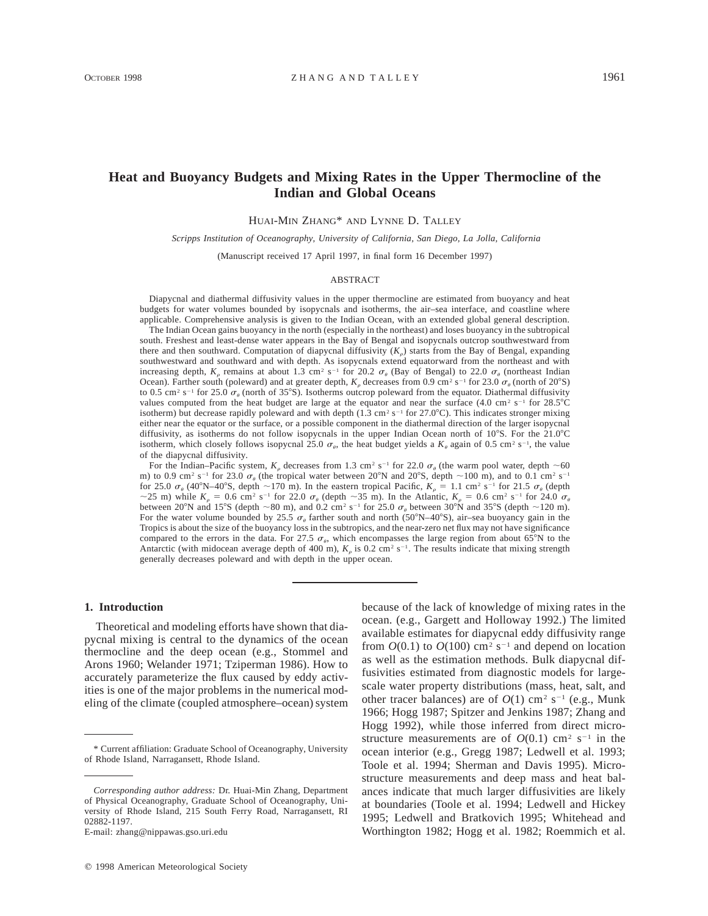# **Heat and Buoyancy Budgets and Mixing Rates in the Upper Thermocline of the Indian and Global Oceans**

HUAI-MIN ZHANG\* AND LYNNE D. TALLEY

*Scripps Institution of Oceanography, University of California, San Diego, La Jolla, California*

(Manuscript received 17 April 1997, in final form 16 December 1997)

### ABSTRACT

Diapycnal and diathermal diffusivity values in the upper thermocline are estimated from buoyancy and heat budgets for water volumes bounded by isopycnals and isotherms, the air–sea interface, and coastline where applicable. Comprehensive analysis is given to the Indian Ocean, with an extended global general description.

The Indian Ocean gains buoyancy in the north (especially in the northeast) and loses buoyancy in the subtropical south. Freshest and least-dense water appears in the Bay of Bengal and isopycnals outcrop southwestward from there and then southward. Computation of diapycnal diffusivity  $(K<sub>e</sub>)$  starts from the Bay of Bengal, expanding southwestward and southward and with depth. As isopycnals extend equatorward from the northeast and with increasing depth,  $K_{\rho}$  remains at about 1.3 cm<sup>2</sup> s<sup>-1</sup> for 20.2  $\sigma_{\theta}$  (Bay of Bengal) to 22.0  $\sigma_{\theta}$  (northeast Indian Ocean). Farther south (poleward) and at greater depth,  $K_{\rho}$  decreases from 0.9 cm<sup>2</sup> s<sup>-1</sup> for 23.0  $\sigma_{\theta}$  (north of 20°S) to 0.5 cm<sup>2</sup> s<sup>-1</sup> for 25.0  $\sigma_{\theta}$  (north of 35°S). Isotherms outcrop poleward from the equator. Diathermal diffusivity values computed from the heat budget are large at the equator and near the surface (4.0 cm<sup>2</sup> s<sup>-1</sup> for 28.5°C isotherm) but decrease rapidly poleward and with depth (1.3 cm<sup>2</sup> s<sup>-1</sup> for 27.0°C). This indicates stronger mixing either near the equator or the surface, or a possible component in the diathermal direction of the larger isopycnal diffusivity, as isotherms do not follow isopycnals in the upper Indian Ocean north of 10°S. For the 21.0°C isotherm, which closely follows isopycnal 25.0  $\sigma_{\theta}$ , the heat budget yields a  $K_{\theta}$  again of 0.5 cm<sup>2</sup> s<sup>-1</sup>, the value of the diapycnal diffusivity.

For the Indian–Pacific system,  $K_p$  decreases from 1.3 cm<sup>2</sup> s<sup>-1</sup> for 22.0  $\sigma_\theta$  (the warm pool water, depth  $\sim$  60 m) to 0.9 cm<sup>2</sup> s<sup>-1</sup> for 23.0  $\sigma_{\theta}$  (the tropical water between 20°N and 20°S, depth  $\sim$ 100 m), and to 0.1 cm<sup>2</sup> s<sup>-1</sup> for 25.0  $\sigma_a$  (40°N–40°S, depth ~170 m). In the eastern tropical Pacific,  $K_a = 1.1$  cm<sup>2</sup> s<sup>-1</sup> for 21.5  $\sigma_a$  (depth  $\sim$  25 m) while  $K_p = 0.6$  cm<sup>2</sup> s<sup>-1</sup> for 22.0  $\sigma_\theta$  (depth  $\sim$  35 m). In the Atlantic,  $K_p = 0.6$  cm<sup>2</sup> s<sup>-1</sup> for 24.0  $\sigma_\theta$ between 20°N and 15°S (depth  $\sim$  80 m), and 0.2 cm<sup>2</sup> s<sup>-1</sup> for 25.0  $\sigma_a$  between 30°N and 35°S (depth  $\sim$  120 m). For the water volume bounded by 25.5  $\sigma_{\theta}$  farther south and north (50°N–40°S), air–sea buoyancy gain in the Tropics is about the size of the buoyancy loss in the subtropics, and the near-zero net flux may not have significance compared to the errors in the data. For 27.5  $\sigma_{\theta}$ , which encompasses the large region from about 65°N to the Antarctic (with midocean average depth of 400 m),  $K<sub>e</sub>$  is 0.2 cm<sup>2</sup> s<sup>-1</sup>. The results indicate that mixing strength generally decreases poleward and with depth in the upper ocean.

#### **1. Introduction**

Theoretical and modeling efforts have shown that diapycnal mixing is central to the dynamics of the ocean thermocline and the deep ocean (e.g., Stommel and Arons 1960; Welander 1971; Tziperman 1986). How to accurately parameterize the flux caused by eddy activities is one of the major problems in the numerical modeling of the climate (coupled atmosphere–ocean) system

E-mail: zhang@nippawas.gso.uri.edu

because of the lack of knowledge of mixing rates in the ocean. (e.g., Gargett and Holloway 1992.) The limited available estimates for diapycnal eddy diffusivity range from  $O(0.1)$  to  $O(100)$  cm<sup>2</sup> s<sup>-1</sup> and depend on location as well as the estimation methods. Bulk diapycnal diffusivities estimated from diagnostic models for largescale water property distributions (mass, heat, salt, and other tracer balances) are of  $O(1)$  cm<sup>2</sup> s<sup>-1</sup> (e.g., Munk 1966; Hogg 1987; Spitzer and Jenkins 1987; Zhang and Hogg 1992), while those inferred from direct microstructure measurements are of  $O(0.1)$  cm<sup>2</sup> s<sup>-1</sup> in the ocean interior (e.g., Gregg 1987; Ledwell et al. 1993; Toole et al. 1994; Sherman and Davis 1995). Microstructure measurements and deep mass and heat balances indicate that much larger diffusivities are likely at boundaries (Toole et al. 1994; Ledwell and Hickey 1995; Ledwell and Bratkovich 1995; Whitehead and Worthington 1982; Hogg et al. 1982; Roemmich et al.

<sup>\*</sup> Current affiliation: Graduate School of Oceanography, University of Rhode Island, Narragansett, Rhode Island.

*Corresponding author address:* Dr. Huai-Min Zhang, Department of Physical Oceanography, Graduate School of Oceanography, University of Rhode Island, 215 South Ferry Road, Narragansett, RI 02882-1197.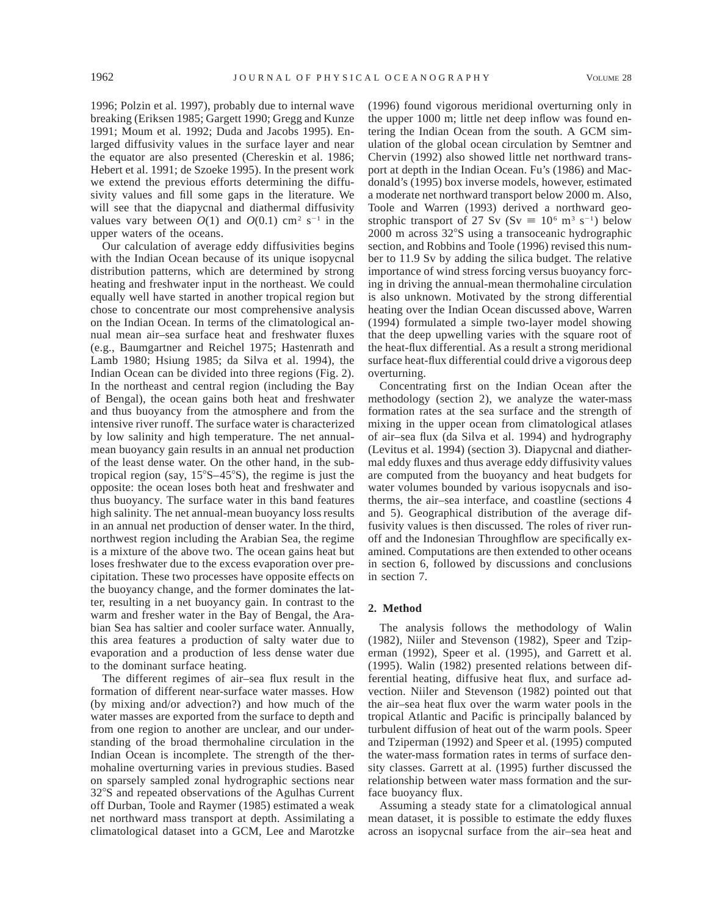1996; Polzin et al. 1997), probably due to internal wave breaking (Eriksen 1985; Gargett 1990; Gregg and Kunze 1991; Moum et al. 1992; Duda and Jacobs 1995). Enlarged diffusivity values in the surface layer and near the equator are also presented (Chereskin et al. 1986; Hebert et al. 1991; de Szoeke 1995). In the present work we extend the previous efforts determining the diffusivity values and fill some gaps in the literature. We will see that the diapycnal and diathermal diffusivity values vary between  $O(1)$  and  $O(0.1)$  cm<sup>2</sup> s<sup>-1</sup> in the upper waters of the oceans.

Our calculation of average eddy diffusivities begins with the Indian Ocean because of its unique isopycnal distribution patterns, which are determined by strong heating and freshwater input in the northeast. We could equally well have started in another tropical region but chose to concentrate our most comprehensive analysis on the Indian Ocean. In terms of the climatological annual mean air–sea surface heat and freshwater fluxes (e.g., Baumgartner and Reichel 1975; Hastenrath and Lamb 1980; Hsiung 1985; da Silva et al. 1994), the Indian Ocean can be divided into three regions (Fig. 2). In the northeast and central region (including the Bay of Bengal), the ocean gains both heat and freshwater and thus buoyancy from the atmosphere and from the intensive river runoff. The surface water is characterized by low salinity and high temperature. The net annualmean buoyancy gain results in an annual net production of the least dense water. On the other hand, in the subtropical region (say,  $15^{\circ}S - 45^{\circ}S$ ), the regime is just the opposite: the ocean loses both heat and freshwater and thus buoyancy. The surface water in this band features high salinity. The net annual-mean buoyancy loss results in an annual net production of denser water. In the third, northwest region including the Arabian Sea, the regime is a mixture of the above two. The ocean gains heat but loses freshwater due to the excess evaporation over precipitation. These two processes have opposite effects on the buoyancy change, and the former dominates the latter, resulting in a net buoyancy gain. In contrast to the warm and fresher water in the Bay of Bengal, the Arabian Sea has saltier and cooler surface water. Annually, this area features a production of salty water due to evaporation and a production of less dense water due to the dominant surface heating.

The different regimes of air–sea flux result in the formation of different near-surface water masses. How (by mixing and/or advection?) and how much of the water masses are exported from the surface to depth and from one region to another are unclear, and our understanding of the broad thermohaline circulation in the Indian Ocean is incomplete. The strength of the thermohaline overturning varies in previous studies. Based on sparsely sampled zonal hydrographic sections near 32°S and repeated observations of the Agulhas Current off Durban, Toole and Raymer (1985) estimated a weak net northward mass transport at depth. Assimilating a climatological dataset into a GCM, Lee and Marotzke

(1996) found vigorous meridional overturning only in the upper 1000 m; little net deep inflow was found entering the Indian Ocean from the south. A GCM simulation of the global ocean circulation by Semtner and Chervin (1992) also showed little net northward transport at depth in the Indian Ocean. Fu's (1986) and Macdonald's (1995) box inverse models, however, estimated a moderate net northward transport below 2000 m. Also, Toole and Warren (1993) derived a northward geostrophic transport of 27 Sv (Sv  $\equiv 10^6$  m<sup>3</sup> s<sup>-1</sup>) below  $2000$  m across  $32^{\circ}$ S using a transoceanic hydrographic section, and Robbins and Toole (1996) revised this number to 11.9 Sv by adding the silica budget. The relative importance of wind stress forcing versus buoyancy forcing in driving the annual-mean thermohaline circulation is also unknown. Motivated by the strong differential heating over the Indian Ocean discussed above, Warren (1994) formulated a simple two-layer model showing that the deep upwelling varies with the square root of the heat-flux differential. As a result a strong meridional surface heat-flux differential could drive a vigorous deep overturning.

Concentrating first on the Indian Ocean after the methodology (section 2), we analyze the water-mass formation rates at the sea surface and the strength of mixing in the upper ocean from climatological atlases of air–sea flux (da Silva et al. 1994) and hydrography (Levitus et al. 1994) (section 3). Diapycnal and diathermal eddy fluxes and thus average eddy diffusivity values are computed from the buoyancy and heat budgets for water volumes bounded by various isopycnals and isotherms, the air–sea interface, and coastline (sections 4 and 5). Geographical distribution of the average diffusivity values is then discussed. The roles of river runoff and the Indonesian Throughflow are specifically examined. Computations are then extended to other oceans in section 6, followed by discussions and conclusions in section 7.

# **2. Method**

The analysis follows the methodology of Walin (1982), Niiler and Stevenson (1982), Speer and Tziperman (1992), Speer et al. (1995), and Garrett et al. (1995). Walin (1982) presented relations between differential heating, diffusive heat flux, and surface advection. Niiler and Stevenson (1982) pointed out that the air–sea heat flux over the warm water pools in the tropical Atlantic and Pacific is principally balanced by turbulent diffusion of heat out of the warm pools. Speer and Tziperman (1992) and Speer et al. (1995) computed the water-mass formation rates in terms of surface density classes. Garrett at al. (1995) further discussed the relationship between water mass formation and the surface buoyancy flux.

Assuming a steady state for a climatological annual mean dataset, it is possible to estimate the eddy fluxes across an isopycnal surface from the air–sea heat and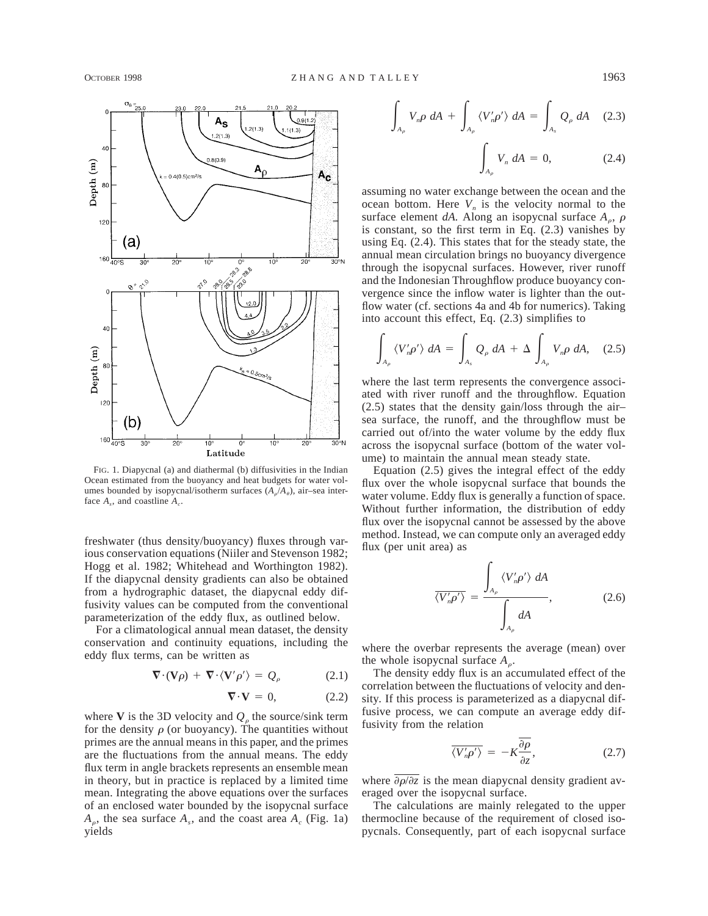

FIG. 1. Diapycnal (a) and diathermal (b) diffusivities in the Indian Ocean estimated from the buoyancy and heat budgets for water volumes bounded by isopycnal/isotherm surfaces  $(A_n/A_n)$ , air–sea interface  $A<sub>c</sub>$ , and coastline  $A<sub>c</sub>$ .

freshwater (thus density/buoyancy) fluxes through various conservation equations (Niiler and Stevenson 1982; Hogg et al. 1982; Whitehead and Worthington 1982). If the diapycnal density gradients can also be obtained from a hydrographic dataset, the diapycnal eddy diffusivity values can be computed from the conventional parameterization of the eddy flux, as outlined below.

For a climatological annual mean dataset, the density conservation and continuity equations, including the eddy flux terms, can be written as

$$
\nabla \cdot (\mathbf{V}\rho) + \nabla \cdot \langle \mathbf{V}' \rho' \rangle = Q_{\rho} \tag{2.1}
$$

$$
\nabla \cdot \mathbf{V} = 0, \tag{2.2}
$$

where **V** is the 3D velocity and  $Q<sub>e</sub>$  the source/sink term for the density  $\rho$  (or buoyancy). The quantities without primes are the annual means in this paper, and the primes are the fluctuations from the annual means. The eddy flux term in angle brackets represents an ensemble mean in theory, but in practice is replaced by a limited time mean. Integrating the above equations over the surfaces of an enclosed water bounded by the isopycnal surface  $A_{\rho}$ , the sea surface  $A_{s}$ , and the coast area  $A_{c}$  (Fig. 1a) yields

$$
\int_{A_{\rho}} V_{n}\rho \ dA + \int_{A_{\rho}} \langle V'_{n}\rho' \rangle \ dA = \int_{A_{s}} Q_{\rho} \ dA \quad (2.3)
$$

$$
\int_{A_{\rho}} V_n \, dA = 0,\tag{2.4}
$$

assuming no water exchange between the ocean and the ocean bottom. Here  $V_n$  is the velocity normal to the surface element *dA*. Along an isopycnal surface  $A_{\rho}$ ,  $\rho$ is constant, so the first term in Eq. (2.3) vanishes by using Eq. (2.4). This states that for the steady state, the annual mean circulation brings no buoyancy divergence through the isopycnal surfaces. However, river runoff and the Indonesian Throughflow produce buoyancy convergence since the inflow water is lighter than the outflow water (cf. sections 4a and 4b for numerics). Taking into account this effect, Eq. (2.3) simplifies to

$$
\int_{A_{\rho}} \langle V_{n}' \rho' \rangle \ dA = \int_{A_{s}} Q_{\rho} \ dA + \Delta \int_{A_{\rho}} V_{n} \rho \ dA, \quad (2.5)
$$

where the last term represents the convergence associated with river runoff and the throughflow. Equation (2.5) states that the density gain/loss through the air– sea surface, the runoff, and the throughflow must be carried out of/into the water volume by the eddy flux across the isopycnal surface (bottom of the water volume) to maintain the annual mean steady state.

Equation (2.5) gives the integral effect of the eddy flux over the whole isopycnal surface that bounds the water volume. Eddy flux is generally a function of space. Without further information, the distribution of eddy flux over the isopycnal cannot be assessed by the above method. Instead, we can compute only an averaged eddy flux (per unit area) as

$$
\overline{\langle V'_n \rho' \rangle} = \frac{\int_{A_\rho} \langle V'_n \rho' \rangle \, dA}{\int_{A_\rho} dA}, \tag{2.6}
$$

where the overbar represents the average (mean) over the whole isopycnal surface  $A_{\rho}$ .

The density eddy flux is an accumulated effect of the correlation between the fluctuations of velocity and density. If this process is parameterized as a diapycnal diffusive process, we can compute an average eddy diffusivity from the relation

$$
\overline{\langle V'_n \rho' \rangle} = -K \frac{\overline{\partial \rho}}{\partial z},\tag{2.7}
$$

where  $\frac{\partial \rho}{\partial z}$  is the mean diapycnal density gradient averaged over the isopycnal surface.

The calculations are mainly relegated to the upper thermocline because of the requirement of closed isopycnals. Consequently, part of each isopycnal surface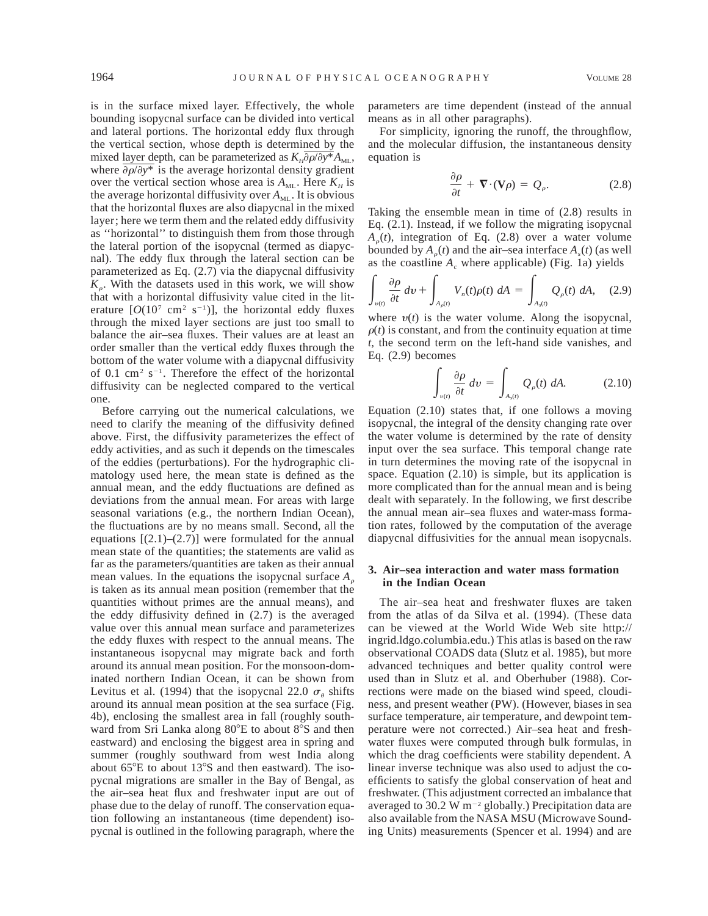is in the surface mixed layer. Effectively, the whole bounding isopycnal surface can be divided into vertical and lateral portions. The horizontal eddy flux through the vertical section, whose depth is determined by the mixed layer depth, can be parameterized as  $K_H \partial \rho / \partial y^* A_{ML}$ , where  $\frac{\partial \rho}{\partial y^*}$  is the average horizontal density gradient over the vertical section whose area is  $A_{\text{ML}}$ . Here  $K_H$  is the average horizontal diffusivity over  $A_{ML}$ . It is obvious that the horizontal fluxes are also diapycnal in the mixed layer; here we term them and the related eddy diffusivity as ''horizontal'' to distinguish them from those through the lateral portion of the isopycnal (termed as diapycnal). The eddy flux through the lateral section can be parameterized as Eq. (2.7) via the diapycnal diffusivity  $K<sub>o</sub>$ . With the datasets used in this work, we will show that with a horizontal diffusivity value cited in the literature  $[O(10^7 \text{ cm}^2 \text{ s}^{-1})]$ , the horizontal eddy fluxes through the mixed layer sections are just too small to balance the air–sea fluxes. Their values are at least an order smaller than the vertical eddy fluxes through the bottom of the water volume with a diapycnal diffusivity of 0.1 cm<sup>2</sup> s<sup>-1</sup>. Therefore the effect of the horizontal diffusivity can be neglected compared to the vertical one.

Before carrying out the numerical calculations, we need to clarify the meaning of the diffusivity defined above. First, the diffusivity parameterizes the effect of eddy activities, and as such it depends on the timescales of the eddies (perturbations). For the hydrographic climatology used here, the mean state is defined as the annual mean, and the eddy fluctuations are defined as deviations from the annual mean. For areas with large seasonal variations (e.g., the northern Indian Ocean), the fluctuations are by no means small. Second, all the equations  $[(2.1)–(2.7)]$  were formulated for the annual mean state of the quantities; the statements are valid as far as the parameters/quantities are taken as their annual mean values. In the equations the isopycnal surface  $A<sub>a</sub>$ is taken as its annual mean position (remember that the quantities without primes are the annual means), and the eddy diffusivity defined in (2.7) is the averaged value over this annual mean surface and parameterizes the eddy fluxes with respect to the annual means. The instantaneous isopycnal may migrate back and forth around its annual mean position. For the monsoon-dominated northern Indian Ocean, it can be shown from Levitus et al. (1994) that the isopycnal 22.0  $\sigma_{\theta}$  shifts around its annual mean position at the sea surface (Fig. 4b), enclosing the smallest area in fall (roughly southward from Sri Lanka along  $80^{\circ}E$  to about  $8^{\circ}S$  and then eastward) and enclosing the biggest area in spring and summer (roughly southward from west India along about  $65^{\circ}E$  to about  $13^{\circ}S$  and then eastward). The isopycnal migrations are smaller in the Bay of Bengal, as the air–sea heat flux and freshwater input are out of phase due to the delay of runoff. The conservation equation following an instantaneous (time dependent) isopycnal is outlined in the following paragraph, where the parameters are time dependent (instead of the annual means as in all other paragraphs).

For simplicity, ignoring the runoff, the throughflow, and the molecular diffusion, the instantaneous density equation is

$$
\frac{\partial \rho}{\partial t} + \nabla \cdot (\mathbf{V} \rho) = Q_{\rho}.
$$
 (2.8)

Taking the ensemble mean in time of (2.8) results in Eq. (2.1). Instead, if we follow the migrating isopycnal  $A_{o}(t)$ , integration of Eq. (2.8) over a water volume bounded by  $A_0(t)$  and the air–sea interface  $A_s(t)$  (as well as the coastline *A<sub>c</sub>* where applicable) (Fig. 1a) yields

$$
\int_{\nu(t)} \frac{\partial \rho}{\partial t} dv + \int_{A_{\rho}(t)} V_n(t) \rho(t) dA = \int_{A_s(t)} Q_{\rho}(t) dA, \quad (2.9)
$$

where  $v(t)$  is the water volume. Along the isopycnal,  $\rho(t)$  is constant, and from the continuity equation at time *t,* the second term on the left-hand side vanishes, and Eq. (2.9) becomes

$$
\int_{\nu(t)} \frac{\partial \rho}{\partial t} dv = \int_{A_{s}(t)} Q_{\rho}(t) dA. \tag{2.10}
$$

Equation (2.10) states that, if one follows a moving isopycnal, the integral of the density changing rate over the water volume is determined by the rate of density input over the sea surface. This temporal change rate in turn determines the moving rate of the isopycnal in space. Equation (2.10) is simple, but its application is more complicated than for the annual mean and is being dealt with separately. In the following, we first describe the annual mean air–sea fluxes and water-mass formation rates, followed by the computation of the average diapycnal diffusivities for the annual mean isopycnals.

# **3. Air–sea interaction and water mass formation in the Indian Ocean**

The air–sea heat and freshwater fluxes are taken from the atlas of da Silva et al. (1994). (These data can be viewed at the World Wide Web site http:// ingrid.ldgo.columbia.edu.) This atlas is based on the raw observational COADS data (Slutz et al. 1985), but more advanced techniques and better quality control were used than in Slutz et al. and Oberhuber (1988). Corrections were made on the biased wind speed, cloudiness, and present weather (PW). (However, biases in sea surface temperature, air temperature, and dewpoint temperature were not corrected.) Air–sea heat and freshwater fluxes were computed through bulk formulas, in which the drag coefficients were stability dependent. A linear inverse technique was also used to adjust the coefficients to satisfy the global conservation of heat and freshwater. (This adjustment corrected an imbalance that averaged to 30.2 W  $m^{-2}$  globally.) Precipitation data are also available from the NASA MSU (Microwave Sounding Units) measurements (Spencer et al. 1994) and are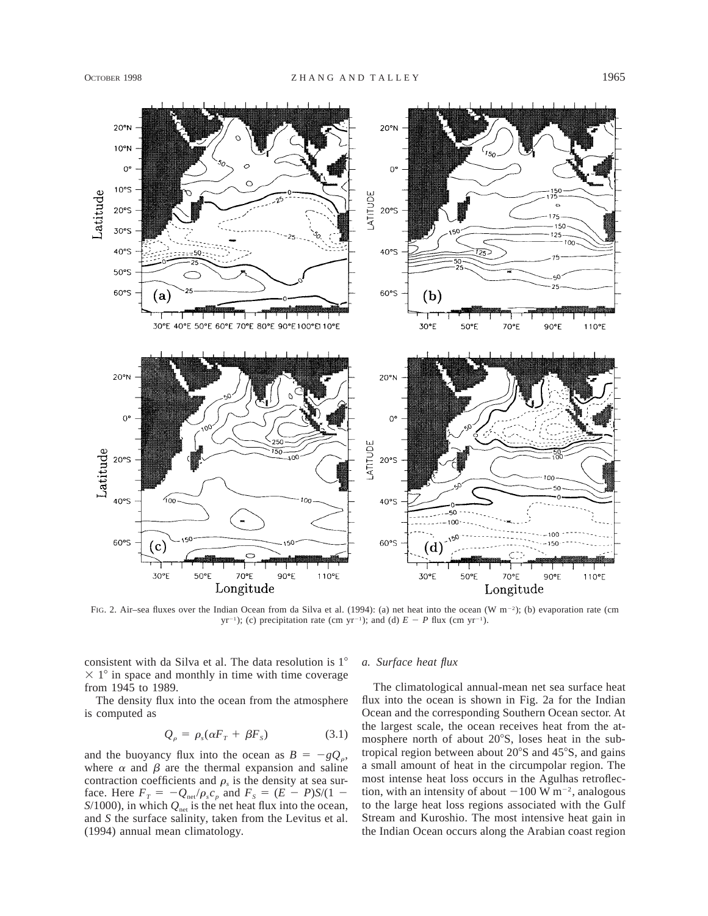

FIG. 2. Air–sea fluxes over the Indian Ocean from da Silva et al. (1994): (a) net heat into the ocean (W m<sup>-2</sup>); (b) evaporation rate (cm yr<sup>-1</sup>); (c) precipitation rate (cm yr<sup>-1</sup>); and (d)  $E - P$  flux (cm yr<sup>-1</sup>).

consistent with da Silva et al. The data resolution is 1°  $\times$  1° in space and monthly in time with time coverage from 1945 to 1989.

The density flux into the ocean from the atmosphere is computed as

$$
Q_{\rho} = \rho_s(\alpha F_T + \beta F_s) \tag{3.1}
$$

and the buoyancy flux into the ocean as  $B = -gQ_o$ , where  $\alpha$  and  $\beta$  are the thermal expansion and saline contraction coefficients and  $\rho_s$  is the density at sea surface. Here  $F_T = -Q_{net}/\rho_s c_p$  and  $F_S = (E - P)S/(1 S/1000$ ), in which  $Q_{net}$  is the net heat flux into the ocean, and *S* the surface salinity, taken from the Levitus et al. (1994) annual mean climatology.

### *a. Surface heat flux*

The climatological annual-mean net sea surface heat flux into the ocean is shown in Fig. 2a for the Indian Ocean and the corresponding Southern Ocean sector. At the largest scale, the ocean receives heat from the atmosphere north of about  $20^{\circ}$ S, loses heat in the subtropical region between about  $20^{\circ}$ S and  $45^{\circ}$ S, and gains a small amount of heat in the circumpolar region. The most intense heat loss occurs in the Agulhas retroflection, with an intensity of about  $-100 \text{ W m}^{-2}$ , analogous to the large heat loss regions associated with the Gulf Stream and Kuroshio. The most intensive heat gain in the Indian Ocean occurs along the Arabian coast region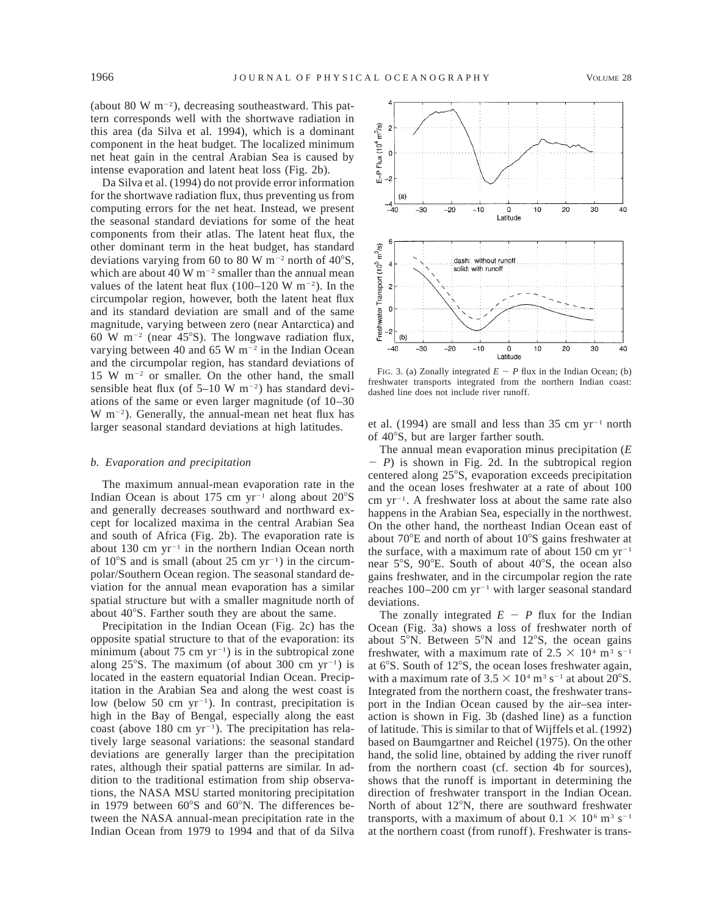(about 80 W  $\rm m^{-2}$ ), decreasing southeastward. This pattern corresponds well with the shortwave radiation in this area (da Silva et al. 1994), which is a dominant component in the heat budget. The localized minimum net heat gain in the central Arabian Sea is caused by intense evaporation and latent heat loss (Fig. 2b).

Da Silva et al. (1994) do not provide error information for the shortwave radiation flux, thus preventing us from computing errors for the net heat. Instead, we present the seasonal standard deviations for some of the heat components from their atlas. The latent heat flux, the other dominant term in the heat budget, has standard deviations varying from 60 to 80 W  $\mathrm{m}^{-2}$  north of 40 $\mathrm{S}$ , which are about 40 W  $\mathrm{m}^{-2}$  smaller than the annual mean values of the latent heat flux  $(100-120 \text{ W m}^{-2})$ . In the circumpolar region, however, both the latent heat flux and its standard deviation are small and of the same magnitude, varying between zero (near Antarctica) and 60 W m<sup>-2</sup> (near 45°S). The longwave radiation flux, varying between 40 and 65 W  $m^{-2}$  in the Indian Ocean and the circumpolar region, has standard deviations of 15 W  $m^{-2}$  or smaller. On the other hand, the small sensible heat flux (of  $5-10 \text{ W m}^{-2}$ ) has standard deviations of the same or even larger magnitude (of 10–30  $W$  m<sup>-2</sup>). Generally, the annual-mean net heat flux has larger seasonal standard deviations at high latitudes.

### *b. Evaporation and precipitation*

The maximum annual-mean evaporation rate in the Indian Ocean is about 175 cm  $yr^{-1}$  along about 20 $\degree$ S and generally decreases southward and northward except for localized maxima in the central Arabian Sea and south of Africa (Fig. 2b). The evaporation rate is about 130 cm  $yr^{-1}$  in the northern Indian Ocean north of  $10^{\circ}$ S and is small (about 25 cm yr<sup>-1</sup>) in the circumpolar/Southern Ocean region. The seasonal standard deviation for the annual mean evaporation has a similar spatial structure but with a smaller magnitude north of about 40°S. Farther south they are about the same.

Precipitation in the Indian Ocean (Fig. 2c) has the opposite spatial structure to that of the evaporation: its minimum (about 75 cm  $yr^{-1}$ ) is in the subtropical zone along  $25^{\circ}$ S. The maximum (of about 300 cm yr<sup>-1</sup>) is located in the eastern equatorial Indian Ocean. Precipitation in the Arabian Sea and along the west coast is low (below 50 cm  $yr^{-1}$ ). In contrast, precipitation is high in the Bay of Bengal, especially along the east coast (above 180 cm  $yr^{-1}$ ). The precipitation has relatively large seasonal variations: the seasonal standard deviations are generally larger than the precipitation rates, although their spatial patterns are similar. In addition to the traditional estimation from ship observations, the NASA MSU started monitoring precipitation in 1979 between  $60^{\circ}$ S and  $60^{\circ}$ N. The differences between the NASA annual-mean precipitation rate in the Indian Ocean from 1979 to 1994 and that of da Silva



FIG. 3. (a) Zonally integrated  $E - P$  flux in the Indian Ocean; (b) freshwater transports integrated from the northern Indian coast: dashed line does not include river runoff.

et al. (1994) are small and less than 35 cm  $yr^{-1}$  north of 40°S, but are larger farther south.

The annual mean evaporation minus precipitation (*E*  $-P$ ) is shown in Fig. 2d. In the subtropical region centered along 25°S, evaporation exceeds precipitation and the ocean loses freshwater at a rate of about 100 cm  $yr^{-1}$ . A freshwater loss at about the same rate also happens in the Arabian Sea, especially in the northwest. On the other hand, the northeast Indian Ocean east of about  $70^{\circ}$ E and north of about  $10^{\circ}$ S gains freshwater at the surface, with a maximum rate of about 150 cm  $yr^{-1}$ near  $5^{\circ}$ S,  $90^{\circ}$ E. South of about  $40^{\circ}$ S, the ocean also gains freshwater, and in the circumpolar region the rate reaches  $100-200$  cm yr<sup>-1</sup> with larger seasonal standard deviations.

The zonally integrated  $E - P$  flux for the Indian Ocean (Fig. 3a) shows a loss of freshwater north of about  $5^\circ$ N. Between  $5^\circ$ N and  $12^\circ$ S, the ocean gains freshwater, with a maximum rate of  $2.5 \times 10^4$  m<sup>3</sup> s<sup>-1</sup> at  $6^{\circ}$ S. South of 12 $^{\circ}$ S, the ocean loses freshwater again, with a maximum rate of  $3.5 \times 10^4$  m<sup>3</sup> s<sup>-1</sup> at about 20°S. Integrated from the northern coast, the freshwater transport in the Indian Ocean caused by the air–sea interaction is shown in Fig. 3b (dashed line) as a function of latitude. This is similar to that of Wijffels et al. (1992) based on Baumgartner and Reichel (1975). On the other hand, the solid line, obtained by adding the river runoff from the northern coast (cf. section 4b for sources), shows that the runoff is important in determining the direction of freshwater transport in the Indian Ocean. North of about  $12^{\circ}$ N, there are southward freshwater transports, with a maximum of about  $0.1 \times 10^6$  m<sup>3</sup> s<sup>-1</sup> at the northern coast (from runoff). Freshwater is trans-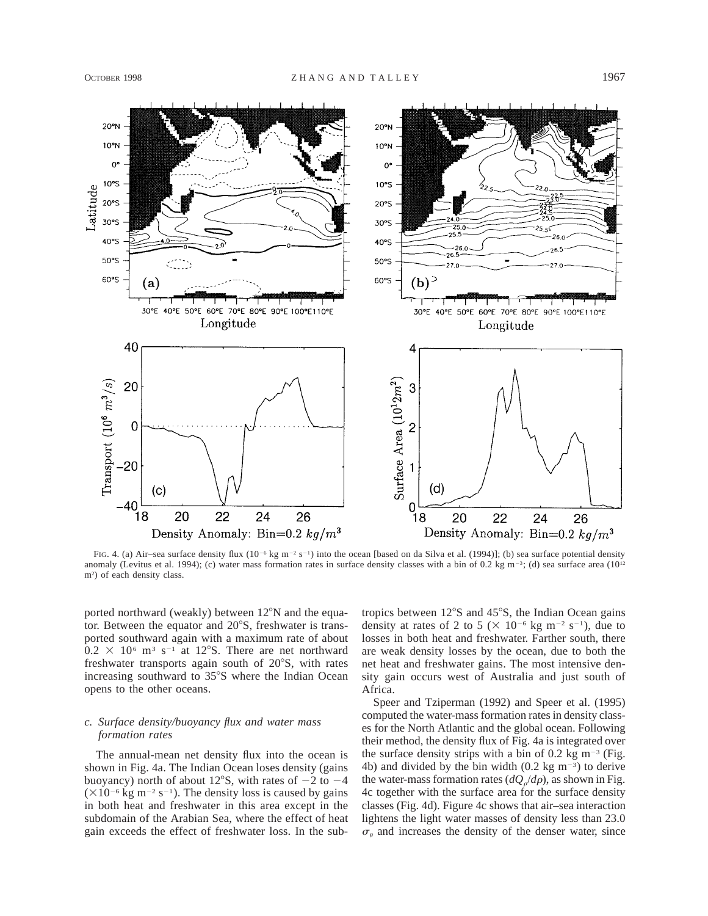

FIG. 4. (a) Air–sea surface density flux  $(10^{-6}$  kg m<sup>-2</sup> s<sup>-1</sup>) into the ocean [based on da Silva et al. (1994)]; (b) sea surface potential density anomaly (Levitus et al. 1994); (c) water mass formation rates in surface density classes with a bin of 0.2 kg m<sup>-3</sup>; (d) sea surface area (10<sup>12</sup>) m2 ) of each density class.

ported northward (weakly) between  $12^{\circ}$ N and the equator. Between the equator and  $20^{\circ}$ S, freshwater is transported southward again with a maximum rate of about  $0.2 \times 10^6$  m<sup>3</sup> s<sup>-1</sup> at 12°S. There are net northward freshwater transports again south of  $20^{\circ}$ S, with rates increasing southward to 35°S where the Indian Ocean opens to the other oceans.

# *c. Surface density/buoyancy flux and water mass formation rates*

The annual-mean net density flux into the ocean is shown in Fig. 4a. The Indian Ocean loses density (gains buoyancy) north of about 12°S, with rates of  $-2$  to  $-4$  $(\times 10^{-6}$  kg m<sup>-2</sup> s<sup>-1</sup>). The density loss is caused by gains in both heat and freshwater in this area except in the subdomain of the Arabian Sea, where the effect of heat gain exceeds the effect of freshwater loss. In the subtropics between  $12^{\circ}$ S and  $45^{\circ}$ S, the Indian Ocean gains density at rates of 2 to 5 ( $\times$  10<sup>-6</sup> kg m<sup>-2</sup> s<sup>-1</sup>), due to losses in both heat and freshwater. Farther south, there are weak density losses by the ocean, due to both the net heat and freshwater gains. The most intensive density gain occurs west of Australia and just south of Africa.

Speer and Tziperman (1992) and Speer et al. (1995) computed the water-mass formation rates in density classes for the North Atlantic and the global ocean. Following their method, the density flux of Fig. 4a is integrated over the surface density strips with a bin of 0.2 kg  $m^{-3}$  (Fig. 4b) and divided by the bin width  $(0.2 \text{ kg m}^{-3})$  to derive the water-mass formation rates  $(dQ_o/d\rho)$ , as shown in Fig. 4c together with the surface area for the surface density classes (Fig. 4d). Figure 4c shows that air–sea interaction lightens the light water masses of density less than 23.0  $\sigma_{\theta}$  and increases the density of the denser water, since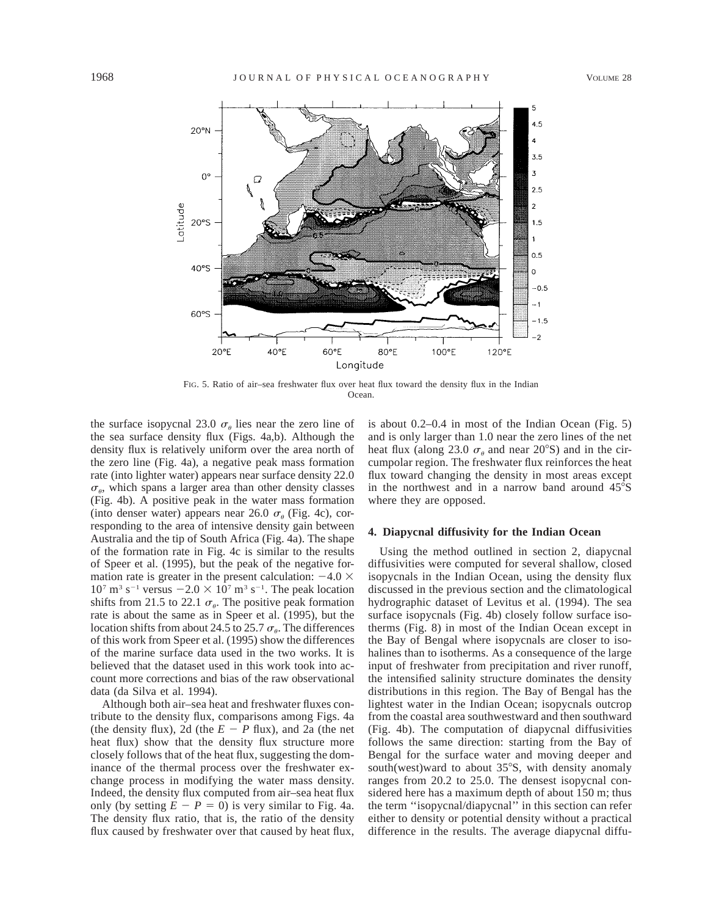

FIG. 5. Ratio of air–sea freshwater flux over heat flux toward the density flux in the Indian Ocean.

the surface isopycnal 23.0  $\sigma_{\theta}$  lies near the zero line of the sea surface density flux (Figs. 4a,b). Although the density flux is relatively uniform over the area north of the zero line (Fig. 4a), a negative peak mass formation rate (into lighter water) appears near surface density 22.0  $\sigma_{\theta}$ , which spans a larger area than other density classes (Fig. 4b). A positive peak in the water mass formation (into denser water) appears near 26.0  $\sigma_{\theta}$  (Fig. 4c), corresponding to the area of intensive density gain between Australia and the tip of South Africa (Fig. 4a). The shape of the formation rate in Fig. 4c is similar to the results of Speer et al. (1995), but the peak of the negative formation rate is greater in the present calculation:  $-4.0 \times$  $10^7$  m<sup>3</sup> s<sup>-1</sup> versus  $-2.0 \times 10^7$  m<sup>3</sup> s<sup>-1</sup>. The peak location shifts from 21.5 to 22.1  $\sigma_{\theta}$ . The positive peak formation rate is about the same as in Speer et al. (1995), but the location shifts from about 24.5 to 25.7  $\sigma_{\theta}$ . The differences of this work from Speer et al. (1995) show the differences of the marine surface data used in the two works. It is believed that the dataset used in this work took into account more corrections and bias of the raw observational data (da Silva et al. 1994).

Although both air–sea heat and freshwater fluxes contribute to the density flux, comparisons among Figs. 4a (the density flux), 2d (the  $E - P$  flux), and 2a (the net heat flux) show that the density flux structure more closely follows that of the heat flux, suggesting the dominance of the thermal process over the freshwater exchange process in modifying the water mass density. Indeed, the density flux computed from air–sea heat flux only (by setting  $E - P = 0$ ) is very similar to Fig. 4a. The density flux ratio, that is, the ratio of the density flux caused by freshwater over that caused by heat flux,

is about 0.2–0.4 in most of the Indian Ocean (Fig. 5) and is only larger than 1.0 near the zero lines of the net heat flux (along 23.0  $\sigma_{\theta}$  and near 20°S) and in the circumpolar region. The freshwater flux reinforces the heat flux toward changing the density in most areas except in the northwest and in a narrow band around  $45^{\circ}$ S where they are opposed.

### **4. Diapycnal diffusivity for the Indian Ocean**

Using the method outlined in section 2, diapycnal diffusivities were computed for several shallow, closed isopycnals in the Indian Ocean, using the density flux discussed in the previous section and the climatological hydrographic dataset of Levitus et al. (1994). The sea surface isopycnals (Fig. 4b) closely follow surface isotherms (Fig. 8) in most of the Indian Ocean except in the Bay of Bengal where isopycnals are closer to isohalines than to isotherms. As a consequence of the large input of freshwater from precipitation and river runoff, the intensified salinity structure dominates the density distributions in this region. The Bay of Bengal has the lightest water in the Indian Ocean; isopycnals outcrop from the coastal area southwestward and then southward (Fig. 4b). The computation of diapycnal diffusivities follows the same direction: starting from the Bay of Bengal for the surface water and moving deeper and south(west)ward to about  $35^{\circ}$ S, with density anomaly ranges from 20.2 to 25.0. The densest isopycnal considered here has a maximum depth of about 150 m; thus the term ''isopycnal/diapycnal'' in this section can refer either to density or potential density without a practical difference in the results. The average diapycnal diffu-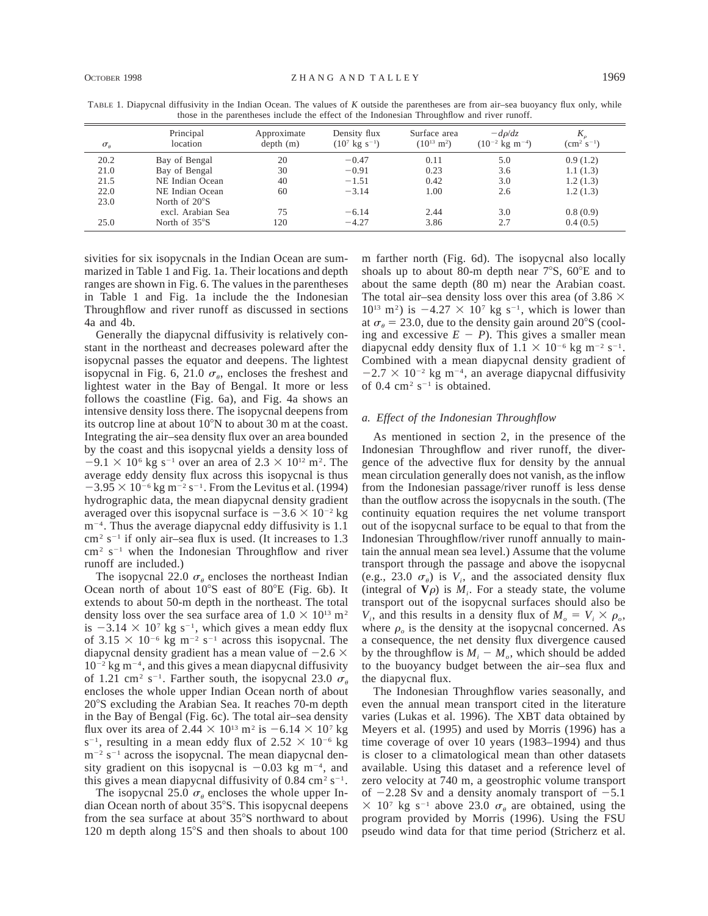| $\sigma_{\theta}$ | Principal<br>location   | Approximate<br>depth(m) | Density flux<br>$(10^7 \text{ kg s}^{-1})$ | Surface area<br>$(10^{13} \text{ m}^2)$ | $-d\rho/dz$<br>$(10^{-2} \text{ kg m}^{-4})$ | K.<br>$\rm (cm^2~s^{-1})$ |
|-------------------|-------------------------|-------------------------|--------------------------------------------|-----------------------------------------|----------------------------------------------|---------------------------|
| 20.2              | Bay of Bengal           | 20                      | $-0.47$                                    | 0.11                                    | 5.0                                          | 0.9(1.2)                  |
| 21.0              | Bay of Bengal           | 30                      | $-0.91$                                    | 0.23                                    | 3.6                                          | 1.1(1.3)                  |
| 21.5              | NE Indian Ocean         | 40                      | $-1.51$                                    | 0.42                                    | 3.0                                          | 1.2(1.3)                  |
| 22.0              | NE Indian Ocean         | 60                      | $-3.14$                                    | 1.00                                    | 2.6                                          | 1.2(1.3)                  |
| 23.0              | North of $20^{\circ}$ S |                         |                                            |                                         |                                              |                           |
|                   | excl. Arabian Sea       | 75                      | $-6.14$                                    | 2.44                                    | 3.0                                          | 0.8(0.9)                  |
| 25.0              | North of $35^{\circ}$ S | 120                     | $-4.27$                                    | 3.86                                    | 2.7                                          | 0.4(0.5)                  |

TABLE 1. Diapycnal diffusivity in the Indian Ocean. The values of *K* outside the parentheses are from air–sea buoyancy flux only, while those in the parentheses include the effect of the Indonesian Throughflow and river runoff.

sivities for six isopycnals in the Indian Ocean are summarized in Table 1 and Fig. 1a. Their locations and depth ranges are shown in Fig. 6. The values in the parentheses in Table 1 and Fig. 1a include the the Indonesian Throughflow and river runoff as discussed in sections 4a and 4b.

Generally the diapycnal diffusivity is relatively constant in the northeast and decreases poleward after the isopycnal passes the equator and deepens. The lightest isopycnal in Fig. 6, 21.0  $\sigma_{\theta}$ , encloses the freshest and lightest water in the Bay of Bengal. It more or less follows the coastline (Fig. 6a), and Fig. 4a shows an intensive density loss there. The isopycnal deepens from its outcrop line at about  $10^{\circ}$ N to about 30 m at the coast. Integrating the air–sea density flux over an area bounded by the coast and this isopycnal yields a density loss of  $-9.1 \times 10^6$  kg s<sup>-1</sup> over an area of 2.3  $\times$  10<sup>12</sup> m<sup>2</sup>. The average eddy density flux across this isopycnal is thus  $-3.95 \times 10^{-6}$  kg m<sup>-2</sup> s<sup>-1</sup>. From the Levitus et al. (1994) hydrographic data, the mean diapycnal density gradient averaged over this isopycnal surface is  $-3.6 \times 10^{-2}$  kg  $m^{-4}$ . Thus the average diapycnal eddy diffusivity is 1.1  $\text{cm}^2 \text{ s}^{-1}$  if only air–sea flux is used. (It increases to 1.3)  $\text{cm}^2$  s<sup>-1</sup> when the Indonesian Throughflow and river runoff are included.)

The isopycnal 22.0  $\sigma_{\theta}$  encloses the northeast Indian Ocean north of about  $10^{\circ}$ S east of  $80^{\circ}$ E (Fig. 6b). It extends to about 50-m depth in the northeast. The total density loss over the sea surface area of  $1.0 \times 10^{13}$  m<sup>2</sup> is  $-3.14 \times 10^{7}$  kg s<sup>-1</sup>, which gives a mean eddy flux of 3.15  $\times$  10<sup>-6</sup> kg m<sup>-2</sup> s<sup>-1</sup> across this isopycnal. The diapycnal density gradient has a mean value of  $-2.6 \times$  $10^{-2}$  kg m<sup>-4</sup>, and this gives a mean diapycnal diffusivity of 1.21 cm<sup>2</sup> s<sup>-1</sup>. Farther south, the isopycnal 23.0  $\sigma_{\theta}$ encloses the whole upper Indian Ocean north of about 20°S excluding the Arabian Sea. It reaches 70-m depth in the Bay of Bengal (Fig. 6c). The total air–sea density flux over its area of 2.44  $\times$  10<sup>13</sup> m<sup>2</sup> is  $-6.14 \times 10^7$  kg s<sup>-1</sup>, resulting in a mean eddy flux of 2.52  $\times$  10<sup>-6</sup> kg  $m^{-2}$  s<sup>-1</sup> across the isopycnal. The mean diapycnal density gradient on this isopycnal is  $-0.03$  kg m<sup>-4</sup>, and this gives a mean diapycnal diffusivity of  $0.84 \text{ cm}^2 \text{ s}^{-1}$ .

The isopycnal 25.0  $\sigma_{\theta}$  encloses the whole upper Indian Ocean north of about 35°S. This isopycnal deepens from the sea surface at about 35°S northward to about 120 m depth along  $15^{\circ}$ S and then shoals to about 100 m farther north (Fig. 6d). The isopycnal also locally shoals up to about 80-m depth near  $7^{\circ}S$ ,  $60^{\circ}E$  and to about the same depth (80 m) near the Arabian coast. The total air–sea density loss over this area (of 3.86  $\times$  $10^{13}$  m<sup>2</sup>) is  $-4.27 \times 10^{7}$  kg s<sup>-1</sup>, which is lower than at  $\sigma_{\theta} = 23.0$ , due to the density gain around 20°S (cooling and excessive  $E - P$ ). This gives a smaller mean diapycnal eddy density flux of  $1.1 \times 10^{-6}$  kg m<sup>-2</sup> s<sup>-1</sup>. Combined with a mean diapycnal density gradient of  $-2.7 \times 10^{-2}$  kg m<sup>-4</sup>, an average diapycnal diffusivity of 0.4  $\text{cm}^2$  s<sup>-1</sup> is obtained.

## *a. Effect of the Indonesian Throughflow*

As mentioned in section 2, in the presence of the Indonesian Throughflow and river runoff, the divergence of the advective flux for density by the annual mean circulation generally does not vanish, as the inflow from the Indonesian passage/river runoff is less dense than the outflow across the isopycnals in the south. (The continuity equation requires the net volume transport out of the isopycnal surface to be equal to that from the Indonesian Throughflow/river runoff annually to maintain the annual mean sea level.) Assume that the volume transport through the passage and above the isopycnal (e.g., 23.0  $\sigma_{\theta}$ ) is *V<sub>i</sub>*, and the associated density flux (integral of  $V\rho$ ) is  $M_i$ . For a steady state, the volume transport out of the isopycnal surfaces should also be  $V_i$ , and this results in a density flux of  $M_o = V_i \times \rho_o$ , where  $\rho<sub>o</sub>$  is the density at the isopycnal concerned. As a consequence, the net density flux divergence caused by the throughflow is  $M_i - M_o$ , which should be added to the buoyancy budget between the air–sea flux and the diapycnal flux.

The Indonesian Throughflow varies seasonally, and even the annual mean transport cited in the literature varies (Lukas et al. 1996). The XBT data obtained by Meyers et al. (1995) and used by Morris (1996) has a time coverage of over 10 years (1983–1994) and thus is closer to a climatological mean than other datasets available. Using this dataset and a reference level of zero velocity at 740 m, a geostrophic volume transport of  $-2.28$  Sv and a density anomaly transport of  $-5.1$  $\times$  10<sup>7</sup> kg s<sup>-1</sup> above 23.0  $\sigma_{\theta}$  are obtained, using the program provided by Morris (1996). Using the FSU pseudo wind data for that time period (Stricherz et al.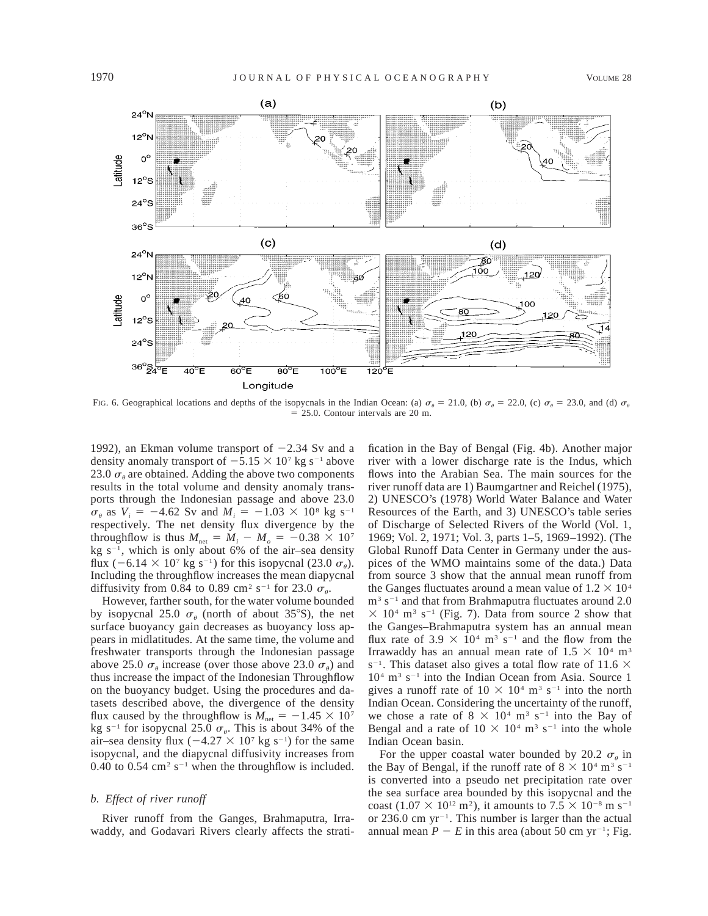

FIG. 6. Geographical locations and depths of the isopycnals in the Indian Ocean: (a)  $\sigma_a = 21.0$ , (b)  $\sigma_a = 22.0$ , (c)  $\sigma_a = 23.0$ , and (d)  $\sigma_a$  $= 25.0$ . Contour intervals are 20 m.

1992), an Ekman volume transport of  $-2.34$  Sv and a density anomaly transport of  $-5.15 \times 10^7$  kg s<sup>-1</sup> above 23.0  $\sigma_{\theta}$  are obtained. Adding the above two components results in the total volume and density anomaly transports through the Indonesian passage and above 23.0  $\sigma_{\theta}$  as  $V_i = -4.62$  Sv and  $M_i = -1.03 \times 10^8$  kg s<sup>-1</sup> respectively. The net density flux divergence by the throughflow is thus  $M_{\text{net}} = M_i - M_o = -0.38 \times 10^7$ kg  $s^{-1}$ , which is only about 6% of the air–sea density flux  $(-6.14 \times 10^7 \text{ kg s}^{-1})$  for this isopycnal (23.0  $\sigma_{\theta}$ ). Including the throughflow increases the mean diapycnal diffusivity from 0.84 to 0.89 cm<sup>2</sup> s<sup>-1</sup> for 23.0  $\sigma_{\theta}$ .

However, farther south, for the water volume bounded by isopycnal 25.0  $\sigma_{\theta}$  (north of about 35°S), the net surface buoyancy gain decreases as buoyancy loss appears in midlatitudes. At the same time, the volume and freshwater transports through the Indonesian passage above 25.0  $\sigma_a$  increase (over those above 23.0  $\sigma_a$ ) and thus increase the impact of the Indonesian Throughflow on the buoyancy budget. Using the procedures and datasets described above, the divergence of the density flux caused by the throughflow is  $M_{\text{net}} = -1.45 \times 10^{7}$ kg s<sup>-1</sup> for isopycnal 25.0  $\sigma_{\theta}$ . This is about 34% of the air–sea density flux  $(-4.27 \times 10^{7} \text{ kg s}^{-1})$  for the same isopycnal, and the diapycnal diffusivity increases from 0.40 to 0.54 cm<sup>2</sup> s<sup>-1</sup> when the throughflow is included.

#### *b. Effect of river runoff*

River runoff from the Ganges, Brahmaputra, Irrawaddy, and Godavari Rivers clearly affects the strati-

fication in the Bay of Bengal (Fig. 4b). Another major river with a lower discharge rate is the Indus, which flows into the Arabian Sea. The main sources for the river runoff data are 1) Baumgartner and Reichel (1975), 2) UNESCO's (1978) World Water Balance and Water Resources of the Earth, and 3) UNESCO's table series of Discharge of Selected Rivers of the World (Vol. 1, 1969; Vol. 2, 1971; Vol. 3, parts 1–5, 1969–1992). (The Global Runoff Data Center in Germany under the auspices of the WMO maintains some of the data.) Data from source 3 show that the annual mean runoff from the Ganges fluctuates around a mean value of  $1.2 \times 10^4$  $\rm m^3$  s<sup>-1</sup> and that from Brahmaputra fluctuates around 2.0  $\times$  10<sup>4</sup> m<sup>3</sup> s<sup>-1</sup> (Fig. 7). Data from source 2 show that the Ganges–Brahmaputra system has an annual mean flux rate of 3.9  $\times$  10<sup>4</sup> m<sup>3</sup> s<sup>-1</sup> and the flow from the Irrawaddy has an annual mean rate of  $1.5 \times 10^4$  m<sup>3</sup>  $s^{-1}$ . This dataset also gives a total flow rate of 11.6  $\times$  $10<sup>4</sup>$  m<sup>3</sup> s<sup>-1</sup> into the Indian Ocean from Asia. Source 1 gives a runoff rate of  $10 \times 10^4$  m<sup>3</sup> s<sup>-1</sup> into the north Indian Ocean. Considering the uncertainty of the runoff, we chose a rate of  $8 \times 10^4$  m<sup>3</sup> s<sup>-1</sup> into the Bay of Bengal and a rate of  $10 \times 10^4$  m<sup>3</sup> s<sup>-1</sup> into the whole Indian Ocean basin.

For the upper coastal water bounded by 20.2  $\sigma_{\theta}$  in the Bay of Bengal, if the runoff rate of  $8 \times 10^4$  m<sup>3</sup> s<sup>-1</sup> is converted into a pseudo net precipitation rate over the sea surface area bounded by this isopycnal and the coast (1.07  $\times$  10<sup>12</sup> m<sup>2</sup>), it amounts to 7.5  $\times$  10<sup>-8</sup> m s<sup>-1</sup> or 236.0 cm  $yr^{-1}$ . This number is larger than the actual annual mean  $P - E$  in this area (about 50 cm yr<sup>-1</sup>; Fig.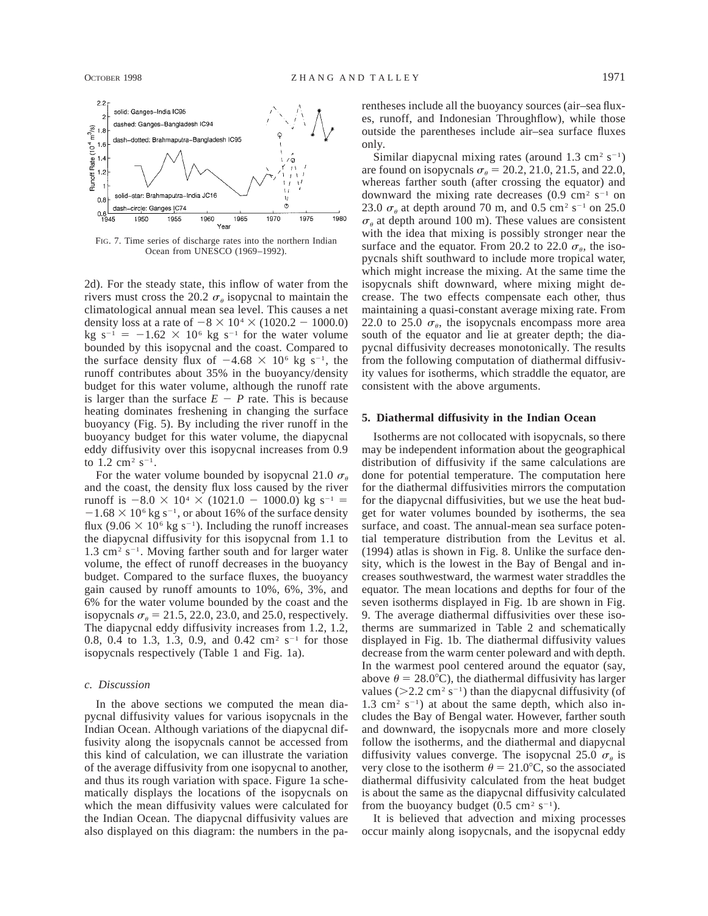

FIG. 7. Time series of discharge rates into the northern Indian Ocean from UNESCO (1969–1992).

2d). For the steady state, this inflow of water from the rivers must cross the 20.2  $\sigma_{\theta}$  isopycnal to maintain the climatological annual mean sea level. This causes a net density loss at a rate of  $-8 \times 10^4 \times (1020.2 - 1000.0)$ kg  $s^{-1} = -1.62 \times 10^6$  kg  $s^{-1}$  for the water volume bounded by this isopycnal and the coast. Compared to the surface density flux of  $-4.68 \times 10^6$  kg s<sup>-1</sup>, the runoff contributes about 35% in the buoyancy/density budget for this water volume, although the runoff rate is larger than the surface  $E - P$  rate. This is because heating dominates freshening in changing the surface buoyancy (Fig. 5). By including the river runoff in the buoyancy budget for this water volume, the diapycnal eddy diffusivity over this isopycnal increases from 0.9 to  $1.2 \text{ cm}^2 \text{ s}^{-1}$ .

For the water volume bounded by isopycnal 21.0  $\sigma_{\theta}$ and the coast, the density flux loss caused by the river runoff is  $-8.0 \times 10^4 \times (1021.0 - 1000.0)$  kg s<sup>-1</sup> =  $-1.68 \times 10^6$  kg s<sup>-1</sup>, or about 16% of the surface density flux (9.06  $\times$  10<sup>6</sup> kg s<sup>-1</sup>). Including the runoff increases the diapycnal diffusivity for this isopycnal from 1.1 to  $1.3 \text{ cm}^2 \text{ s}^{-1}$ . Moving farther south and for larger water volume, the effect of runoff decreases in the buoyancy budget. Compared to the surface fluxes, the buoyancy gain caused by runoff amounts to 10%, 6%, 3%, and 6% for the water volume bounded by the coast and the isopycnals  $\sigma_{\theta} = 21.5, 22.0, 23.0,$  and 25.0, respectively. The diapycnal eddy diffusivity increases from 1.2, 1.2, 0.8, 0.4 to 1.3, 1.3, 0.9, and 0.42 cm<sup>2</sup> s<sup>-1</sup> for those isopycnals respectively (Table 1 and Fig. 1a).

### *c. Discussion*

In the above sections we computed the mean diapycnal diffusivity values for various isopycnals in the Indian Ocean. Although variations of the diapycnal diffusivity along the isopycnals cannot be accessed from this kind of calculation, we can illustrate the variation of the average diffusivity from one isopycnal to another, and thus its rough variation with space. Figure 1a schematically displays the locations of the isopycnals on which the mean diffusivity values were calculated for the Indian Ocean. The diapycnal diffusivity values are also displayed on this diagram: the numbers in the parentheses include all the buoyancy sources (air–sea fluxes, runoff, and Indonesian Throughflow), while those outside the parentheses include air–sea surface fluxes only.

Similar diapycnal mixing rates (around  $1.3 \text{ cm}^2 \text{ s}^{-1}$ ) are found on isopycnals  $\sigma_{\theta} = 20.2, 21.0, 21.5,$  and 22.0, whereas farther south (after crossing the equator) and downward the mixing rate decreases  $(0.9 \text{ cm}^2 \text{ s}^{-1} \text{ on}$ 23.0  $\sigma_{\theta}$  at depth around 70 m, and 0.5 cm<sup>2</sup> s<sup>-1</sup> on 25.0  $\sigma_{\theta}$  at depth around 100 m). These values are consistent with the idea that mixing is possibly stronger near the surface and the equator. From 20.2 to 22.0  $\sigma_{\theta}$ , the isopycnals shift southward to include more tropical water, which might increase the mixing. At the same time the isopycnals shift downward, where mixing might decrease. The two effects compensate each other, thus maintaining a quasi-constant average mixing rate. From 22.0 to 25.0  $\sigma_{\theta}$ , the isopycnals encompass more area south of the equator and lie at greater depth; the diapycnal diffusivity decreases monotonically. The results from the following computation of diathermal diffusivity values for isotherms, which straddle the equator, are consistent with the above arguments.

### **5. Diathermal diffusivity in the Indian Ocean**

Isotherms are not collocated with isopycnals, so there may be independent information about the geographical distribution of diffusivity if the same calculations are done for potential temperature. The computation here for the diathermal diffusivities mirrors the computation for the diapycnal diffusivities, but we use the heat budget for water volumes bounded by isotherms, the sea surface, and coast. The annual-mean sea surface potential temperature distribution from the Levitus et al. (1994) atlas is shown in Fig. 8. Unlike the surface density, which is the lowest in the Bay of Bengal and increases southwestward, the warmest water straddles the equator. The mean locations and depths for four of the seven isotherms displayed in Fig. 1b are shown in Fig. 9. The average diathermal diffusivities over these isotherms are summarized in Table 2 and schematically displayed in Fig. 1b. The diathermal diffusivity values decrease from the warm center poleward and with depth. In the warmest pool centered around the equator (say, above  $\theta = 28.0^{\circ}$ C), the diathermal diffusivity has larger values ( $>2.2$  cm<sup>2</sup> s<sup>-1</sup>) than the diapycnal diffusivity (of  $1.3 \text{ cm}^2 \text{ s}^{-1}$  at about the same depth, which also includes the Bay of Bengal water. However, farther south and downward, the isopycnals more and more closely follow the isotherms, and the diathermal and diapycnal diffusivity values converge. The isopycnal 25.0  $\sigma_{\theta}$  is very close to the isotherm  $\theta = 21.0^{\circ}$ C, so the associated diathermal diffusivity calculated from the heat budget is about the same as the diapycnal diffusivity calculated from the buoyancy budget  $(0.5 \text{ cm}^2 \text{ s}^{-1})$ .

It is believed that advection and mixing processes occur mainly along isopycnals, and the isopycnal eddy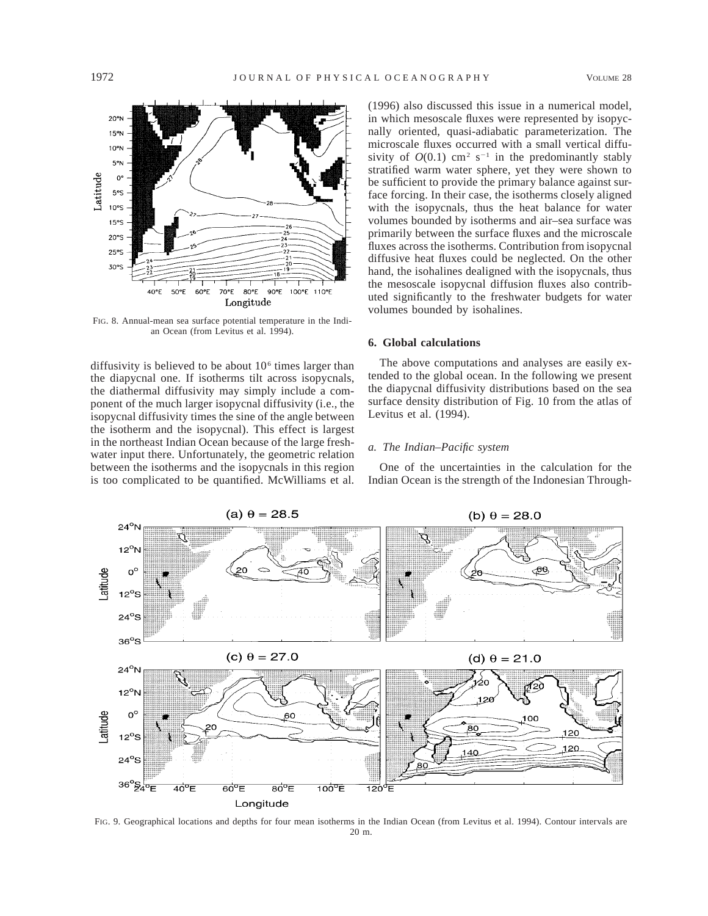

FIG. 8. Annual-mean sea surface potential temperature in the Indian Ocean (from Levitus et al. 1994).

diffusivity is believed to be about  $10<sup>6</sup>$  times larger than the diapycnal one. If isotherms tilt across isopycnals, the diathermal diffusivity may simply include a component of the much larger isopycnal diffusivity (i.e., the isopycnal diffusivity times the sine of the angle between the isotherm and the isopycnal). This effect is largest in the northeast Indian Ocean because of the large freshwater input there. Unfortunately, the geometric relation between the isotherms and the isopycnals in this region is too complicated to be quantified. McWilliams et al. (1996) also discussed this issue in a numerical model, in which mesoscale fluxes were represented by isopycnally oriented, quasi-adiabatic parameterization. The microscale fluxes occurred with a small vertical diffusivity of  $O(0.1)$  cm<sup>2</sup> s<sup>-1</sup> in the predominantly stably stratified warm water sphere, yet they were shown to be sufficient to provide the primary balance against surface forcing. In their case, the isotherms closely aligned with the isopycnals, thus the heat balance for water volumes bounded by isotherms and air–sea surface was primarily between the surface fluxes and the microscale fluxes across the isotherms. Contribution from isopycnal diffusive heat fluxes could be neglected. On the other hand, the isohalines dealigned with the isopycnals, thus the mesoscale isopycnal diffusion fluxes also contributed significantly to the freshwater budgets for water volumes bounded by isohalines.

# **6. Global calculations**

The above computations and analyses are easily extended to the global ocean. In the following we present the diapycnal diffusivity distributions based on the sea surface density distribution of Fig. 10 from the atlas of Levitus et al. (1994).

#### *a. The Indian–Pacific system*

One of the uncertainties in the calculation for the Indian Ocean is the strength of the Indonesian Through-



FIG. 9. Geographical locations and depths for four mean isotherms in the Indian Ocean (from Levitus et al. 1994). Contour intervals are 20 m.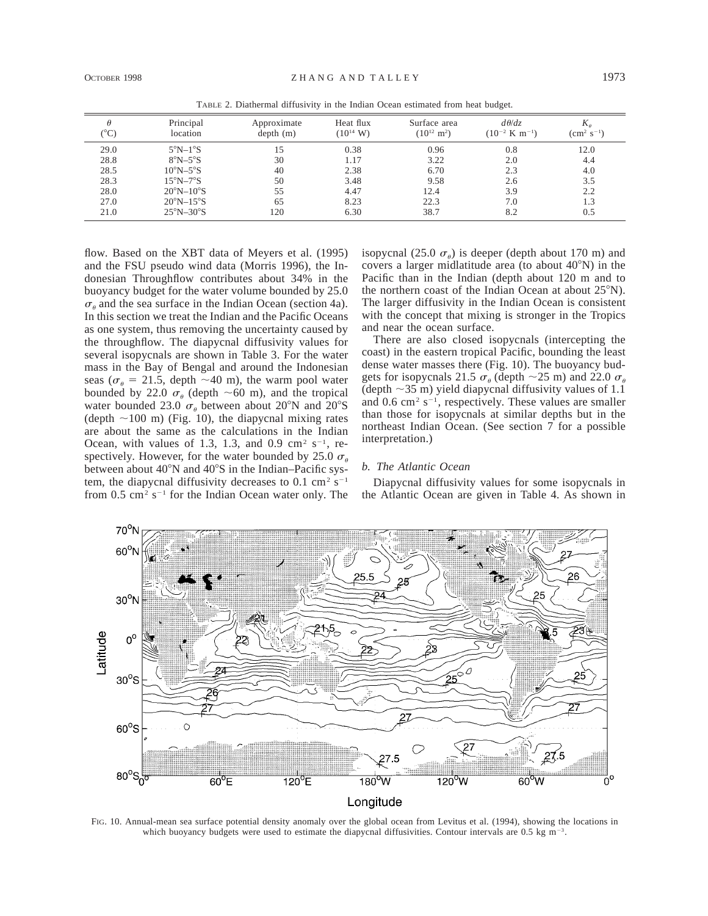|      |                               |                         |                                    |                                         | ~                                            |                              |
|------|-------------------------------|-------------------------|------------------------------------|-----------------------------------------|----------------------------------------------|------------------------------|
| °C)  | Principal<br>location         | Approximate<br>depth(m) | Heat flux<br>$(10^{14} \text{ W})$ | Surface area<br>$(10^{12} \text{ m}^2)$ | $d\theta/dz$<br>$(10^{-2} \text{ K m}^{-1})$ | $K_a$<br>$\rm (cm^2~s^{-1})$ |
| 29.0 | $5^{\circ}$ N $-1^{\circ}$ S  | 15                      | 0.38                               | 0.96                                    | 0.8                                          | 12.0                         |
| 28.8 | $8^{\circ}N - 5^{\circ}S$     | 30                      | 1.17                               | 3.22                                    | 2.0                                          | 4.4                          |
| 28.5 | $10^{\circ}$ N $-5^{\circ}$ S | 40                      | 2.38                               | 6.70                                    | 2.3                                          | 4.0                          |
| 28.3 | $15^{\circ}$ N $-7^{\circ}$ S | 50                      | 3.48                               | 9.58                                    | 2.6                                          | 3.5                          |
| 28.0 | $20^{\circ}N-10^{\circ}S$     | 55                      | 4.47                               | 12.4                                    | 3.9                                          | $2.2\,$                      |
| 27.0 | $20^{\circ}N-15^{\circ}S$     | 65                      | 8.23                               | 22.3                                    | 7.0                                          | 1.3                          |
| 21.0 | $25^{\circ}N - 30^{\circ}S$   | 120                     | 6.30                               | 38.7                                    | 8.2                                          | 0.5                          |

TABLE 2. Diathermal diffusivity in the Indian Ocean estimated from heat budget.

flow. Based on the XBT data of Meyers et al. (1995) and the FSU pseudo wind data (Morris 1996), the Indonesian Throughflow contributes about 34% in the buoyancy budget for the water volume bounded by 25.0  $\sigma_{\theta}$  and the sea surface in the Indian Ocean (section 4a). In this section we treat the Indian and the Pacific Oceans as one system, thus removing the uncertainty caused by the throughflow. The diapycnal diffusivity values for several isopycnals are shown in Table 3. For the water mass in the Bay of Bengal and around the Indonesian seas ( $\sigma_{\theta}$  = 21.5, depth ~40 m), the warm pool water bounded by 22.0  $\sigma_{\theta}$  (depth ~60 m), and the tropical water bounded 23.0  $\sigma_{\theta}$  between about 20°N and 20°S (depth  $\sim$ 100 m) (Fig. 10), the diapycnal mixing rates are about the same as the calculations in the Indian Ocean, with values of 1.3, 1.3, and 0.9 cm<sup>2</sup> s<sup>-1</sup>, respectively. However, for the water bounded by 25.0  $\sigma_{\theta}$ between about  $40^{\circ}$ N and  $40^{\circ}$ S in the Indian–Pacific system, the diapycnal diffusivity decreases to 0.1 cm<sup>2</sup> s<sup>-1</sup> from  $0.5 \text{ cm}^2 \text{ s}^{-1}$  for the Indian Ocean water only. The isopycnal (25.0  $\sigma_{\theta}$ ) is deeper (depth about 170 m) and covers a larger midlatitude area (to about  $40^{\circ}$ N) in the Pacific than in the Indian (depth about 120 m and to the northern coast of the Indian Ocean at about  $25^{\circ}$ N). The larger diffusivity in the Indian Ocean is consistent with the concept that mixing is stronger in the Tropics and near the ocean surface.

There are also closed isopycnals (intercepting the coast) in the eastern tropical Pacific, bounding the least dense water masses there (Fig. 10). The buoyancy budgets for isopycnals 21.5  $\sigma_{\theta}$  (depth  $\sim$  25 m) and 22.0  $\sigma_{\theta}$ (depth  $\sim$ 35 m) yield diapycnal diffusivity values of 1.1 and  $0.6 \text{ cm}^2 \text{ s}^{-1}$ , respectively. These values are smaller than those for isopycnals at similar depths but in the northeast Indian Ocean. (See section 7 for a possible interpretation.)

#### *b. The Atlantic Ocean*

Diapycnal diffusivity values for some isopycnals in the Atlantic Ocean are given in Table 4. As shown in



FIG. 10. Annual-mean sea surface potential density anomaly over the global ocean from Levitus et al. (1994), showing the locations in which buoyancy budgets were used to estimate the diapycnal diffusivities. Contour intervals are  $0.5 \text{ kg m}^{-3}$ .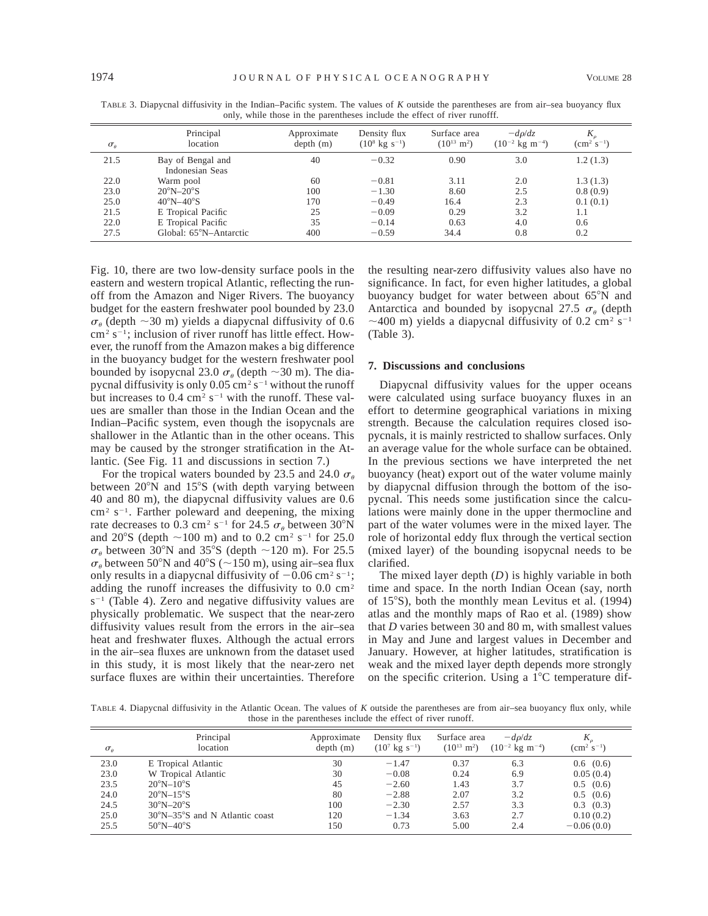| $\sigma_{\theta}$ | Principal<br>location                | Approximate<br>depth(m) | Density flux<br>$(10^8 \text{ kg s}^{-1})$ | Surface area<br>$(10^{13} \text{ m}^2)$ | $-d\rho/dz$<br>$(10^{-2} \text{ kg m}^{-4})$ | $\rm (cm^2~s^{-1})$ |
|-------------------|--------------------------------------|-------------------------|--------------------------------------------|-----------------------------------------|----------------------------------------------|---------------------|
| 21.5              | Bay of Bengal and<br>Indonesian Seas | 40                      | $-0.32$                                    | 0.90                                    | 3.0                                          | 1.2(1.3)            |
| 22.0              | Warm pool                            | 60                      | $-0.81$                                    | 3.11                                    | 2.0                                          | 1.3(1.3)            |
| 23.0              | $20^{\circ}$ N $-20^{\circ}$ S       | 100                     | $-1.30$                                    | 8.60                                    | 2.5                                          | 0.8(0.9)            |
| 25.0              | $40^{\circ}$ N $-40^{\circ}$ S       | 170                     | $-0.49$                                    | 16.4                                    | 2.3                                          | 0.1(0.1)            |
| 21.5              | E Tropical Pacific                   | 25                      | $-0.09$                                    | 0.29                                    | 3.2                                          | 1.1                 |
| 22.0              | E Tropical Pacific                   | 35                      | $-0.14$                                    | 0.63                                    | 4.0                                          | 0.6                 |
| 27.5              | Global: 65°N–Antarctic               | 400                     | $-0.59$                                    | 34.4                                    | 0.8                                          | 0.2                 |

TABLE 3. Diapycnal diffusivity in the Indian–Pacific system. The values of *K* outside the parentheses are from air–sea buoyancy flux only, while those in the parentheses include the effect of river runofff.

Fig. 10, there are two low-density surface pools in the eastern and western tropical Atlantic, reflecting the runoff from the Amazon and Niger Rivers. The buoyancy budget for the eastern freshwater pool bounded by 23.0  $\sigma_{\theta}$  (depth ~30 m) yields a diapycnal diffusivity of 0.6  $cm<sup>2</sup> s<sup>-1</sup>$ ; inclusion of river runoff has little effect. However, the runoff from the Amazon makes a big difference in the buoyancy budget for the western freshwater pool bounded by isopycnal 23.0  $\sigma_{\theta}$  (depth  $\sim$ 30 m). The diapycnal diffusivity is only 0.05 cm<sup>2</sup> s<sup>-1</sup> without the runoff but increases to  $0.4 \text{ cm}^2 \text{ s}^{-1}$  with the runoff. These values are smaller than those in the Indian Ocean and the Indian–Pacific system, even though the isopycnals are shallower in the Atlantic than in the other oceans. This may be caused by the stronger stratification in the Atlantic. (See Fig. 11 and discussions in section 7.)

For the tropical waters bounded by 23.5 and 24.0  $\sigma_{\theta}$ between  $20^{\circ}$ N and  $15^{\circ}$ S (with depth varying between 40 and 80 m), the diapycnal diffusivity values are 0.6  $\text{cm}^2$  s<sup>-1</sup>. Farther poleward and deepening, the mixing rate decreases to 0.3 cm<sup>2</sup> s<sup>-1</sup> for 24.5  $\sigma_{\theta}$  between 30°N and 20°S (depth  $\sim$ 100 m) and to 0.2 cm<sup>2</sup> s<sup>-1</sup> for 25.0  $\sigma_{\theta}$  between 30°N and 35°S (depth ~120 m). For 25.5  $\sigma_{\theta}$  between 50°N and 40°S (~150 m), using air–sea flux only results in a diapycnal diffusivity of  $-0.06$  cm<sup>2</sup> s<sup>-1</sup>; adding the runoff increases the diffusivity to  $0.0 \text{ cm}^2$  $s^{-1}$  (Table 4). Zero and negative diffusivity values are physically problematic. We suspect that the near-zero diffusivity values result from the errors in the air–sea heat and freshwater fluxes. Although the actual errors in the air–sea fluxes are unknown from the dataset used in this study, it is most likely that the near-zero net surface fluxes are within their uncertainties. Therefore

the resulting near-zero diffusivity values also have no significance. In fact, for even higher latitudes, a global buoyancy budget for water between about  $65^{\circ}$ N and Antarctica and bounded by isopycnal 27.5  $\sigma_{\theta}$  (depth  $\sim$ 400 m) yields a diapycnal diffusivity of 0.2 cm<sup>2</sup> s<sup>-1</sup> (Table 3).

## **7. Discussions and conclusions**

Diapycnal diffusivity values for the upper oceans were calculated using surface buoyancy fluxes in an effort to determine geographical variations in mixing strength. Because the calculation requires closed isopycnals, it is mainly restricted to shallow surfaces. Only an average value for the whole surface can be obtained. In the previous sections we have interpreted the net buoyancy (heat) export out of the water volume mainly by diapycnal diffusion through the bottom of the isopycnal. This needs some justification since the calculations were mainly done in the upper thermocline and part of the water volumes were in the mixed layer. The role of horizontal eddy flux through the vertical section (mixed layer) of the bounding isopycnal needs to be clarified.

The mixed layer depth (*D*) is highly variable in both time and space. In the north Indian Ocean (say, north of  $15^{\circ}$ S), both the monthly mean Levitus et al. (1994) atlas and the monthly maps of Rao et al. (1989) show that *D* varies between 30 and 80 m, with smallest values in May and June and largest values in December and January. However, at higher latitudes, stratification is weak and the mixed layer depth depends more strongly on the specific criterion. Using a  $1^{\circ}$ C temperature dif-

TABLE 4. Diapycnal diffusivity in the Atlantic Ocean. The values of *K* outside the parentheses are from air–sea buoyancy flux only, while those in the parentheses include the effect of river runoff.

| $\sigma_{\theta}$ | Principal<br>location          | Approximate<br>depth(m) | Density flux<br>$(10^7 \text{ kg s}^{-1})$ | Surface area<br>$(10^{13} \text{ m}^2)$ | $-d\rho/dz$<br>$(10^{-2} \text{ kg m}^{-4})$ | $\rm (cm^2~s^{-1})$ |
|-------------------|--------------------------------|-------------------------|--------------------------------------------|-----------------------------------------|----------------------------------------------|---------------------|
| 23.0              | E Tropical Atlantic            | 30                      | $-1.47$                                    | 0.37                                    | 6.3                                          | $0.6$ $(0.6)$       |
| 23.0              | W Tropical Atlantic            | 30                      | $-0.08$                                    | 0.24                                    | 6.9                                          | 0.05(0.4)           |
| 23.5              | $20^{\circ}N-10^{\circ}S$      | 45                      | $-2.60$                                    | 1.43                                    | 3.7                                          | $0.5$ $(0.6)$       |
| 24.0              | $20^{\circ}$ N $-15^{\circ}$ S | 80                      | $-2.88$                                    | 2.07                                    | 3.2                                          | $0.5$ $(0.6)$       |
| 24.5              | $30^{\circ}$ N $-20^{\circ}$ S | 100                     | $-2.30$                                    | 2.57                                    | 3.3                                          | $0.3$ $(0.3)$       |
| 25.0              | 30°N-35°S and N Atlantic coast | 120                     | $-1.34$                                    | 3.63                                    | 2.7                                          | 0.10(0.2)           |
| 25.5              | $50^{\circ}$ N $-40^{\circ}$ S | 150                     | 0.73                                       | 5.00                                    | 2.4                                          | $-0.06(0.0)$        |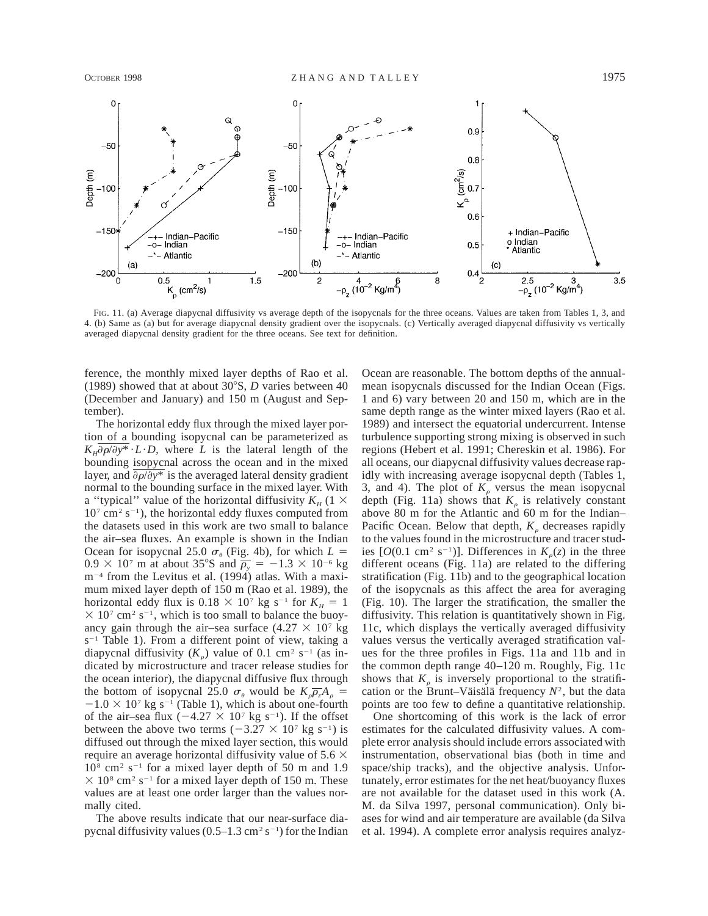

FIG. 11. (a) Average diapycnal diffusivity vs average depth of the isopycnals for the three oceans. Values are taken from Tables 1, 3, and 4. (b) Same as (a) but for average diapycnal density gradient over the isopycnals. (c) Vertically averaged diapycnal diffusivity vs vertically averaged diapycnal density gradient for the three oceans. See text for definition.

ference, the monthly mixed layer depths of Rao et al. (1989) showed that at about  $30^{\circ}$ S, *D* varies between 40 (December and January) and 150 m (August and September).

The horizontal eddy flux through the mixed layer portion of a bounding isopycnal can be parameterized as  $K_H \partial \rho / \partial y^* \cdot L \cdot D$ , where *L* is the lateral length of the bounding isopycnal across the ocean and in the mixed layer, and  $\frac{\partial \rho}{\partial y^*}$  is the averaged lateral density gradient normal to the bounding surface in the mixed layer. With a "typical" value of the horizontal diffusivity  $K_H$  (1  $\times$  $10<sup>7</sup>$  cm<sup>2</sup> s<sup>-1</sup>), the horizontal eddy fluxes computed from the datasets used in this work are two small to balance the air–sea fluxes. An example is shown in the Indian Ocean for isopycnal 25.0  $\sigma_{\theta}$  (Fig. 4b), for which  $L =$  $0.9 \times 10^7$  m at about 35°S and  $\overline{\rho_v}$  = -1.3  $\times$  10<sup>-6</sup> kg  $m^{-4}$  from the Levitus et al. (1994) atlas. With a maximum mixed layer depth of 150 m (Rao et al. 1989), the horizontal eddy flux is  $0.18 \times 10^7$  kg s<sup>-1</sup> for  $K_H = 1$  $\times$  10<sup>7</sup> cm<sup>2</sup> s<sup>-1</sup>, which is too small to balance the buoyancy gain through the air–sea surface  $(4.27 \times 10^7 \text{ kg})$  $s^{-1}$  Table 1). From a different point of view, taking a diapycnal diffusivity  $(K_{\rho})$  value of 0.1 cm<sup>2</sup> s<sup>-1</sup> (as indicated by microstructure and tracer release studies for the ocean interior), the diapycnal diffusive flux through the bottom of isopycnal 25.0  $\sigma_{\theta}$  would be  $K_{\theta}P_{z}A_{\theta} =$  $-1.0 \times 10^{7}$  kg s<sup>-1</sup> (Table 1), which is about one-fourth of the air–sea flux  $(-4.27 \times 10^{7} \text{ kg s}^{-1})$ . If the offset between the above two terms  $(-3.27 \times 10^7 \text{ kg s}^{-1})$  is diffused out through the mixed layer section, this would require an average horizontal diffusivity value of 5.6  $\times$  $10<sup>8</sup>$  cm<sup>2</sup> s<sup>-1</sup> for a mixed layer depth of 50 m and 1.9  $\times$  10<sup>8</sup> cm<sup>2</sup> s<sup>-1</sup> for a mixed layer depth of 150 m. These values are at least one order larger than the values normally cited.

The above results indicate that our near-surface diapycnal diffusivity values  $(0.5-1.3 \text{ cm}^2 \text{ s}^{-1})$  for the Indian Ocean are reasonable. The bottom depths of the annualmean isopycnals discussed for the Indian Ocean (Figs. 1 and 6) vary between 20 and 150 m, which are in the same depth range as the winter mixed layers (Rao et al. 1989) and intersect the equatorial undercurrent. Intense turbulence supporting strong mixing is observed in such regions (Hebert et al. 1991; Chereskin et al. 1986). For all oceans, our diapycnal diffusivity values decrease rapidly with increasing average isopycnal depth (Tables 1, 3, and 4). The plot of  $K_{\rho}$  versus the mean isopycnal depth (Fig. 11a) shows that  $K_{\rho}$  is relatively constant above 80 m for the Atlantic and 60 m for the Indian– Pacific Ocean. Below that depth,  $K_{\rho}$  decreases rapidly to the values found in the microstructure and tracer studies  $[O(0.1 \text{ cm}^2 \text{ s}^{-1})]$ . Differences in  $K_o(z)$  in the three different oceans (Fig. 11a) are related to the differing stratification (Fig. 11b) and to the geographical location of the isopycnals as this affect the area for averaging (Fig. 10). The larger the stratification, the smaller the diffusivity. This relation is quantitatively shown in Fig. 11c, which displays the vertically averaged diffusivity values versus the vertically averaged stratification values for the three profiles in Figs. 11a and 11b and in the common depth range 40–120 m. Roughly, Fig. 11c shows that  $K_{\rho}$  is inversely proportional to the stratification or the Brunt–Väisälä frequency  $N^2$ , but the data points are too few to define a quantitative relationship.

One shortcoming of this work is the lack of error estimates for the calculated diffusivity values. A complete error analysis should include errors associated with instrumentation, observational bias (both in time and space/ship tracks), and the objective analysis. Unfortunately, error estimates for the net heat/buoyancy fluxes are not available for the dataset used in this work (A. M. da Silva 1997, personal communication). Only biases for wind and air temperature are available (da Silva et al. 1994). A complete error analysis requires analyz-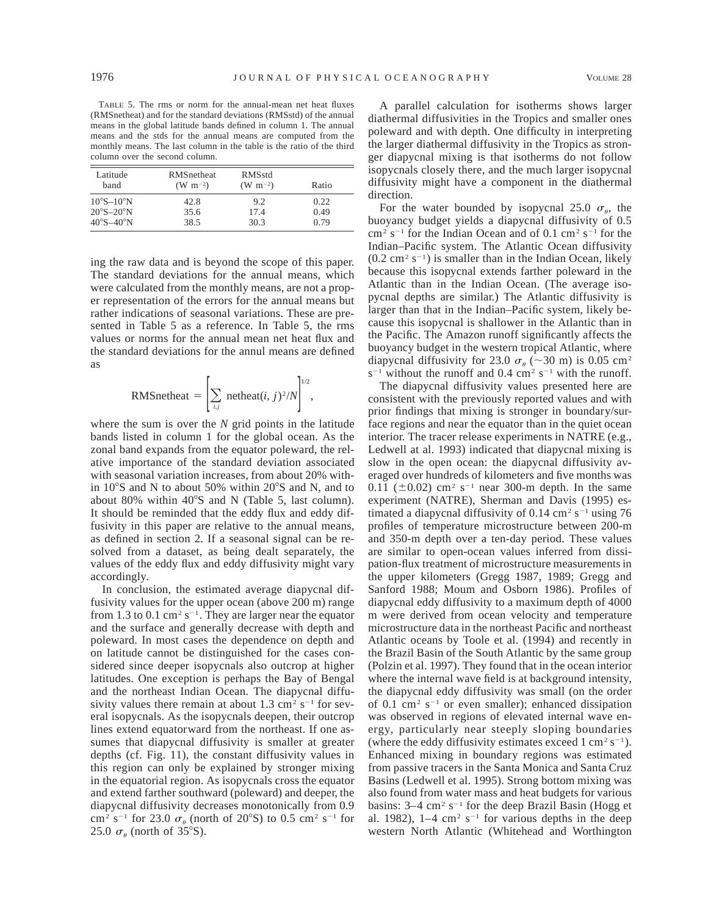TABLE 5. The rms or norm for the annual-mean net heat fluxes (RMSnetheat) and for the standard deviations (RMSstd) of the annual means in the global latitude bands defined in column 1. The annual means and the stds for the annual means are computed from the monthly means. The last column in the table is the ratio of the third column over the second column.

| Latitude                    | <b>RMS</b> netheat | <b>RMSstd</b>   | Ratio |
|-----------------------------|--------------------|-----------------|-------|
| band                        | $(W m^{-2})$       | $(W \; m^{-2})$ |       |
| $10^{\circ}S - 10^{\circ}N$ | 42.8               | 9.2             | 0.22  |
| $20^{\circ}S - 20^{\circ}N$ | 35.6               | 17.4            | 0.49  |
| $40^{\circ}S - 40^{\circ}N$ | 38.5               | 30.3            | 0.79  |

ing the raw data and is beyond the scope of this paper. The standard deviations for the annual means, which were calculated from the monthly means, are not a proper representation of the errors for the annual means but rather indications of seasonal variations. These are presented in Table 5 as a reference. In Table 5, the rms values or norms for the annual mean net heat flux and the standard deviations for the annul means are defined as

RMSnetheat = 
$$
\left[\sum_{i,j} \text{netheat}(i, j)^2/N\right]^{1/2},
$$

where the sum is over the *N* grid points in the latitude bands listed in column 1 for the global ocean. As the zonal band expands from the equator poleward, the relative importance of the standard deviation associated with seasonal variation increases, from about 20% within  $10^{\circ}$ S and N to about 50% within  $20^{\circ}$ S and N, and to about 80% within  $40^{\circ}$ S and N (Table 5, last column). It should be reminded that the eddy flux and eddy diffusivity in this paper are relative to the annual means, as defined in section 2. If a seasonal signal can be resolved from a dataset, as being dealt separately, the values of the eddy flux and eddy diffusivity might vary accordingly.

In conclusion, the estimated average diapycnal diffusivity values for the upper ocean (above 200 m) range from 1.3 to 0.1 cm<sup>2</sup> s<sup>-1</sup>. They are larger near the equator and the surface and generally decrease with depth and poleward. In most cases the dependence on depth and on latitude cannot be distinguished for the cases considered since deeper isopycnals also outcrop at higher latitudes. One exception is perhaps the Bay of Bengal and the northeast Indian Ocean. The diapycnal diffusivity values there remain at about 1.3 cm<sup>2</sup> s<sup>-1</sup> for several isopycnals. As the isopycnals deepen, their outcrop lines extend equatorward from the northeast. If one assumes that diapycnal diffusivity is smaller at greater depths (cf. Fig. 11), the constant diffusivity values in this region can only be explained by stronger mixing in the equatorial region. As isopycnals cross the equator and extend farther southward (poleward) and deeper, the diapycnal diffusivity decreases monotonically from 0.9 cm<sup>2</sup> s<sup>-1</sup> for 23.0  $\sigma_{\theta}$  (north of 20°S) to 0.5 cm<sup>2</sup> s<sup>-1</sup> for 25.0  $\sigma_{\theta}$  (north of 35°S).

A parallel calculation for isotherms shows larger diathermal diffusivities in the Tropics and smaller ones poleward and with depth. One difficulty in interpreting the larger diathermal diffusivity in the Tropics as stronger diapycnal mixing is that isotherms do not follow isopycnals closely there, and the much larger isopycnal diffusivity might have a component in the diathermal direction.

For the water bounded by isopycnal 25.0  $\sigma_{\theta}$ , the buoyancy budget yields a diapycnal diffusivity of 0.5  $\text{cm}^2 \text{ s}^{-1}$  for the Indian Ocean and of 0.1 cm<sup>2</sup> s<sup>-1</sup> for the Indian–Pacific system. The Atlantic Ocean diffusivity  $(0.2 \text{ cm}^2 \text{ s}^{-1})$  is smaller than in the Indian Ocean, likely because this isopycnal extends farther poleward in the Atlantic than in the Indian Ocean. (The average isopycnal depths are similar.) The Atlantic diffusivity is larger than that in the Indian–Pacific system, likely because this isopycnal is shallower in the Atlantic than in the Pacific. The Amazon runoff significantly affects the buoyancy budget in the western tropical Atlantic, where diapycnal diffusivity for 23.0  $\sigma_{\theta}$  (~30 m) is 0.05 cm<sup>2</sup>  $s^{-1}$  without the runoff and 0.4 cm<sup>2</sup> s<sup>-1</sup> with the runoff.

The diapycnal diffusivity values presented here are consistent with the previously reported values and with prior findings that mixing is stronger in boundary/surface regions and near the equator than in the quiet ocean interior. The tracer release experiments in NATRE (e.g., Ledwell at al. 1993) indicated that diapycnal mixing is slow in the open ocean: the diapycnal diffusivity averaged over hundreds of kilometers and five months was 0.11 ( $\pm$ 0.02) cm<sup>2</sup> s<sup>-1</sup> near 300-m depth. In the same experiment (NATRE), Sherman and Davis (1995) estimated a diapycnal diffusivity of 0.14 cm<sup>2</sup> s<sup>-1</sup> using 76 profiles of temperature microstructure between 200-m and 350-m depth over a ten-day period. These values are similar to open-ocean values inferred from dissipation-flux treatment of microstructure measurements in the upper kilometers (Gregg 1987, 1989; Gregg and Sanford 1988; Moum and Osborn 1986). Profiles of diapycnal eddy diffusivity to a maximum depth of 4000 m were derived from ocean velocity and temperature microstructure data in the northeast Pacific and northeast Atlantic oceans by Toole et al. (1994) and recently in the Brazil Basin of the South Atlantic by the same group (Polzin et al. 1997). They found that in the ocean interior where the internal wave field is at background intensity, the diapycnal eddy diffusivity was small (on the order of 0.1 cm<sup>2</sup> s<sup>-1</sup> or even smaller); enhanced dissipation was observed in regions of elevated internal wave energy, particularly near steeply sloping boundaries (where the eddy diffusivity estimates exceed 1 cm<sup>2</sup> s<sup>-1</sup>). Enhanced mixing in boundary regions was estimated from passive tracers in the Santa Monica and Santa Cruz Basins (Ledwell et al. 1995). Strong bottom mixing was also found from water mass and heat budgets for various basins:  $3-4$  cm<sup>2</sup> s<sup>-1</sup> for the deep Brazil Basin (Hogg et al. 1982),  $1-4 \text{ cm}^2 \text{ s}^{-1}$  for various depths in the deep western North Atlantic (Whitehead and Worthington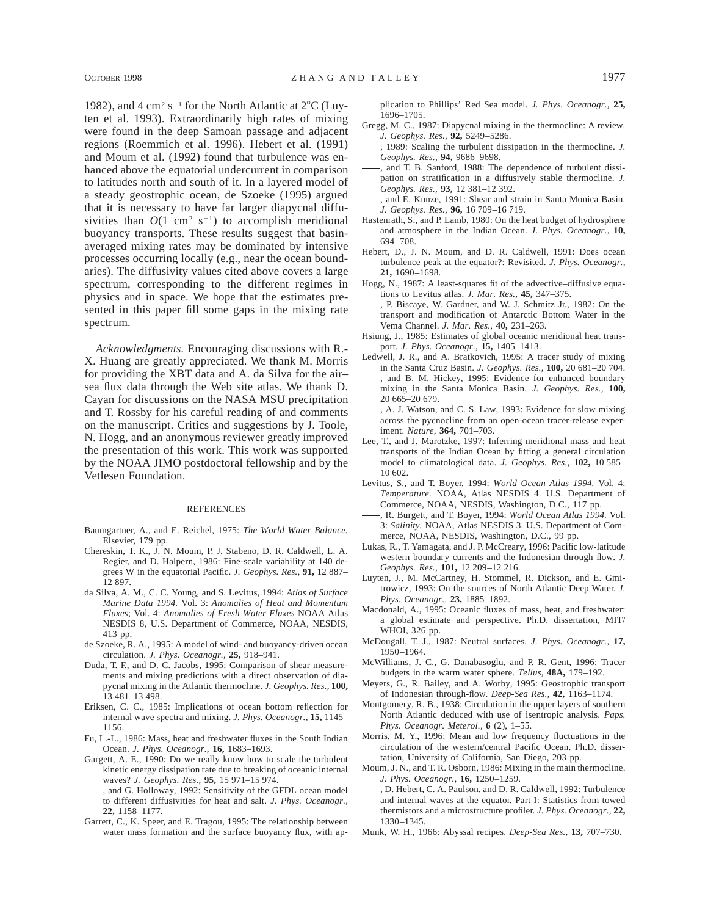1982), and 4 cm<sup>2</sup> s<sup>-1</sup> for the North Atlantic at  $2^{\circ}C$  (Luyten et al. 1993). Extraordinarily high rates of mixing were found in the deep Samoan passage and adjacent regions (Roemmich et al. 1996). Hebert et al. (1991) and Moum et al. (1992) found that turbulence was enhanced above the equatorial undercurrent in comparison to latitudes north and south of it. In a layered model of a steady geostrophic ocean, de Szoeke (1995) argued that it is necessary to have far larger diapycnal diffusivities than  $O(1 \text{ cm}^2 \text{ s}^{-1})$  to accomplish meridional buoyancy transports. These results suggest that basinaveraged mixing rates may be dominated by intensive processes occurring locally (e.g., near the ocean boundaries). The diffusivity values cited above covers a large spectrum, corresponding to the different regimes in physics and in space. We hope that the estimates presented in this paper fill some gaps in the mixing rate spectrum.

*Acknowledgments.* Encouraging discussions with R.- X. Huang are greatly appreciated. We thank M. Morris for providing the XBT data and A. da Silva for the air– sea flux data through the Web site atlas. We thank D. Cayan for discussions on the NASA MSU precipitation and T. Rossby for his careful reading of and comments on the manuscript. Critics and suggestions by J. Toole, N. Hogg, and an anonymous reviewer greatly improved the presentation of this work. This work was supported by the NOAA JIMO postdoctoral fellowship and by the Vetlesen Foundation.

#### REFERENCES

- Baumgartner, A., and E. Reichel, 1975: *The World Water Balance.* Elsevier, 179 pp.
- Chereskin, T. K., J. N. Moum, P. J. Stabeno, D. R. Caldwell, L. A. Regier, and D. Halpern, 1986: Fine-scale variability at 140 degrees W in the equatorial Pacific. *J. Geophys. Res.,* **91,** 12 887– 12 897.
- da Silva, A. M., C. C. Young, and S. Levitus, 1994: *Atlas of Surface Marine Data 1994.* Vol. 3: *Anomalies of Heat and Momentum Fluxes*; Vol. 4: *Anomalies of Fresh Water Fluxes* NOAA Atlas NESDIS 8, U.S. Department of Commerce, NOAA, NESDIS, 413 pp.
- de Szoeke, R. A., 1995: A model of wind- and buoyancy-driven ocean circulation. *J. Phys. Oceanogr.,* **25,** 918–941.
- Duda, T. F., and D. C. Jacobs, 1995: Comparison of shear measurements and mixing predictions with a direct observation of diapycnal mixing in the Atlantic thermocline. *J. Geophys. Res.,* **100,** 13 481–13 498.
- Eriksen, C. C., 1985: Implications of ocean bottom reflection for internal wave spectra and mixing. *J. Phys. Oceanogr.,* **15,** 1145– 1156.
- Fu, L.-L., 1986: Mass, heat and freshwater fluxes in the South Indian Ocean. *J. Phys. Oceanogr.,* **16,** 1683–1693.
- Gargett, A. E., 1990: Do we really know how to scale the turbulent kinetic energy dissipation rate due to breaking of oceanic internal waves? *J. Geophys. Res.,* **95,** 15 971–15 974.
- , and G. Holloway, 1992: Sensitivity of the GFDL ocean model to different diffusivities for heat and salt. *J. Phys. Oceanogr.,* **22,** 1158–1177.
- Garrett, C., K. Speer, and E. Tragou, 1995: The relationship between water mass formation and the surface buoyancy flux, with ap-

plication to Phillips' Red Sea model. *J. Phys. Oceanogr.,* **25,** 1696–1705.

- Gregg, M. C., 1987: Diapycnal mixing in the thermocline: A review. *J. Geophys. Res.,* **92,** 5249–5286.
- , 1989: Scaling the turbulent dissipation in the thermocline. *J. Geophys. Res.,* **94,** 9686–9698.
- , and T. B. Sanford, 1988: The dependence of turbulent dissipation on stratification in a diffusively stable thermocline. *J. Geophys. Res.,* **93,** 12 381–12 392.
- , and E. Kunze, 1991: Shear and strain in Santa Monica Basin. *J. Geophys. Res.,* **96,** 16 709–16 719.
- Hastenrath, S., and P. Lamb, 1980: On the heat budget of hydrosphere and atmosphere in the Indian Ocean. *J. Phys. Oceanogr.,* **10,** 694–708.
- Hebert, D., J. N. Moum, and D. R. Caldwell, 1991: Does ocean turbulence peak at the equator?: Revisited. *J. Phys. Oceanogr.,* **21,** 1690–1698.
- Hogg, N., 1987: A least-squares fit of the advective–diffusive equations to Levitus atlas. *J. Mar. Res.,* **45,** 347–375.
- , P. Biscaye, W. Gardner, and W. J. Schmitz Jr., 1982: On the transport and modification of Antarctic Bottom Water in the Vema Channel. *J. Mar. Res.,* **40,** 231–263.
- Hsiung, J., 1985: Estimates of global oceanic meridional heat transport. *J. Phys. Oceanogr.,* **15,** 1405–1413.
- Ledwell, J. R., and A. Bratkovich, 1995: A tracer study of mixing in the Santa Cruz Basin. *J. Geophys. Res.,* **100,** 20 681–20 704.
- , and B. M. Hickey, 1995: Evidence for enhanced boundary mixing in the Santa Monica Basin. *J. Geophys. Res.,* **100,** 20 665–20 679.
- , A. J. Watson, and C. S. Law, 1993: Evidence for slow mixing across the pycnocline from an open-ocean tracer-release experiment. *Nature,* **364,** 701–703.
- Lee, T., and J. Marotzke, 1997: Inferring meridional mass and heat transports of the Indian Ocean by fitting a general circulation model to climatological data. *J. Geophys. Res.,* **102,** 10 585– 10 602.
- Levitus, S., and T. Boyer, 1994: *World Ocean Atlas 1994.* Vol. 4: *Temperature.* NOAA, Atlas NESDIS 4. U.S. Department of Commerce, NOAA, NESDIS, Washington, D.C., 117 pp.
- , R. Burgett, and T. Boyer, 1994: *World Ocean Atlas 1994.* Vol. 3: *Salinity.* NOAA, Atlas NESDIS 3. U.S. Department of Commerce, NOAA, NESDIS, Washington, D.C., 99 pp.
- Lukas, R., T. Yamagata, and J. P. McCreary, 1996: Pacific low-latitude western boundary currents and the Indonesian through flow. *J. Geophys. Res.,* **101,** 12 209–12 216.
- Luyten, J., M. McCartney, H. Stommel, R. Dickson, and E. Gmitrowicz, 1993: On the sources of North Atlantic Deep Water. *J. Phys. Oceanogr.,* **23,** 1885–1892.
- Macdonald, A., 1995: Oceanic fluxes of mass, heat, and freshwater: a global estimate and perspective. Ph.D. dissertation, MIT/ WHOI, 326 pp.
- McDougall, T. J., 1987: Neutral surfaces. *J. Phys. Oceanogr.,* **17,** 1950–1964.
- McWilliams, J. C., G. Danabasoglu, and P. R. Gent, 1996: Tracer budgets in the warm water sphere. *Tellus,* **48A,** 179–192.
- Meyers, G., R. Bailey, and A. Worby, 1995: Geostrophic transport of Indonesian through-flow. *Deep-Sea Res.,* **42,** 1163–1174.
- Montgomery, R. B., 1938: Circulation in the upper layers of southern North Atlantic deduced with use of isentropic analysis. *Paps. Phys. Oceanogr. Meterol.,* **6** (2), 1–55.
- Morris, M. Y., 1996: Mean and low frequency fluctuations in the circulation of the western/central Pacific Ocean. Ph.D. dissertation, University of California, San Diego, 203 pp.
- Moum, J. N., and T. R. Osborn, 1986: Mixing in the main thermocline. *J. Phys. Oceanogr.,* **16,** 1250–1259.
- , D. Hebert, C. A. Paulson, and D. R. Caldwell, 1992: Turbulence and internal waves at the equator. Part I: Statistics from towed thermistors and a microstructure profiler. *J. Phys. Oceanogr.,* **22,** 1330–1345.
- Munk, W. H., 1966: Abyssal recipes. *Deep-Sea Res.,* **13,** 707–730.